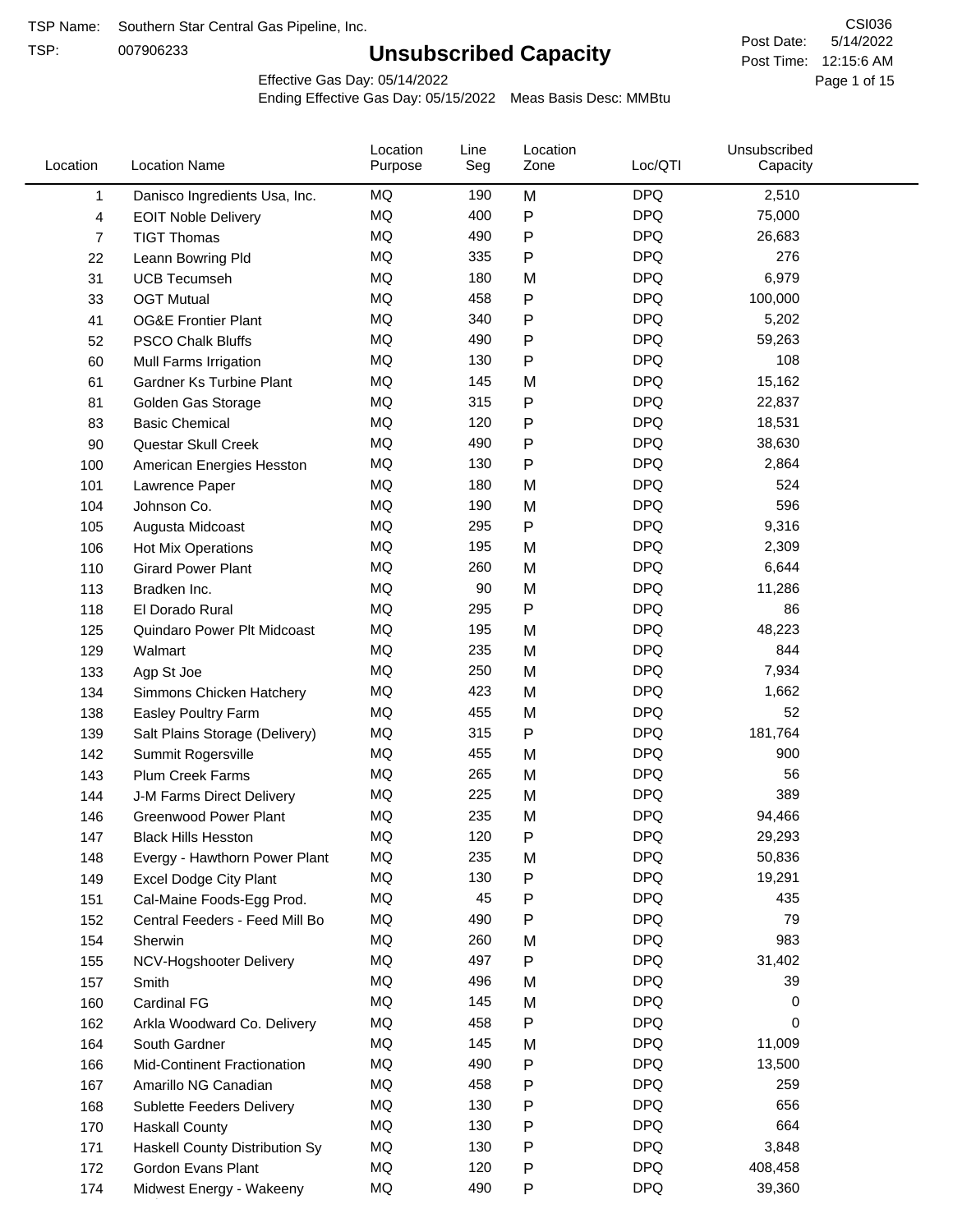TSP:

# **Unsubscribed Capacity**

5/14/2022 Page 1 of 15 Post Time: 12:15:6 AM CSI036 Post Date:

Effective Gas Day: 05/14/2022

| Location | <b>Location Name</b>           | Location<br>Purpose | Line<br>Seg | Location<br>Zone | Loc/QTI    | Unsubscribed<br>Capacity |  |
|----------|--------------------------------|---------------------|-------------|------------------|------------|--------------------------|--|
| 1        | Danisco Ingredients Usa, Inc.  | MQ                  | 190         | M                | <b>DPQ</b> | 2,510                    |  |
| 4        | <b>EOIT Noble Delivery</b>     | <b>MQ</b>           | 400         | ${\sf P}$        | <b>DPQ</b> | 75,000                   |  |
| 7        | <b>TIGT Thomas</b>             | <b>MQ</b>           | 490         | ${\sf P}$        | <b>DPQ</b> | 26,683                   |  |
| 22       | Leann Bowring Pld              | <b>MQ</b>           | 335         | P                | <b>DPQ</b> | 276                      |  |
| 31       | <b>UCB Tecumseh</b>            | <b>MQ</b>           | 180         | M                | <b>DPQ</b> | 6,979                    |  |
| 33       | <b>OGT Mutual</b>              | <b>MQ</b>           | 458         | P                | <b>DPQ</b> | 100,000                  |  |
| 41       | <b>OG&amp;E Frontier Plant</b> | MQ                  | 340         | $\mathsf{P}$     | <b>DPQ</b> | 5,202                    |  |
| 52       | <b>PSCO Chalk Bluffs</b>       | MQ                  | 490         | P                | <b>DPQ</b> | 59,263                   |  |
| 60       | Mull Farms Irrigation          | <b>MQ</b>           | 130         | P                | <b>DPQ</b> | 108                      |  |
| 61       | Gardner Ks Turbine Plant       | <b>MQ</b>           | 145         | M                | <b>DPQ</b> | 15,162                   |  |
| 81       | Golden Gas Storage             | MQ                  | 315         | ${\sf P}$        | <b>DPQ</b> | 22,837                   |  |
| 83       | <b>Basic Chemical</b>          | <b>MQ</b>           | 120         | P                | <b>DPQ</b> | 18,531                   |  |
| 90       | Questar Skull Creek            | MQ                  | 490         | Ρ                | <b>DPQ</b> | 38,630                   |  |
| 100      | American Energies Hesston      | <b>MQ</b>           | 130         | ${\sf P}$        | <b>DPQ</b> | 2,864                    |  |
| 101      | Lawrence Paper                 | <b>MQ</b>           | 180         | M                | <b>DPQ</b> | 524                      |  |
| 104      | Johnson Co.                    | MQ                  | 190         | M                | <b>DPQ</b> | 596                      |  |
| 105      | Augusta Midcoast               | <b>MQ</b>           | 295         | P                | <b>DPQ</b> | 9,316                    |  |
| 106      | Hot Mix Operations             | <b>MQ</b>           | 195         | M                | <b>DPQ</b> | 2,309                    |  |
| 110      | <b>Girard Power Plant</b>      | <b>MQ</b>           | 260         | M                | <b>DPQ</b> | 6,644                    |  |
| 113      | Bradken Inc.                   | <b>MQ</b>           | 90          | M                | <b>DPQ</b> | 11,286                   |  |
| 118      | El Dorado Rural                | MQ                  | 295         | $\mathsf{P}$     | <b>DPQ</b> | 86                       |  |
| 125      | Quindaro Power Plt Midcoast    | MQ                  | 195         | M                | <b>DPQ</b> | 48,223                   |  |
| 129      | Walmart                        | <b>MQ</b>           | 235         | M                | <b>DPQ</b> | 844                      |  |
| 133      | Agp St Joe                     | <b>MQ</b>           | 250         | M                | <b>DPQ</b> | 7,934                    |  |
| 134      | Simmons Chicken Hatchery       | <b>MQ</b>           | 423         | M                | <b>DPQ</b> | 1,662                    |  |
| 138      | Easley Poultry Farm            | <b>MQ</b>           | 455         | M                | <b>DPQ</b> | 52                       |  |
| 139      | Salt Plains Storage (Delivery) | <b>MQ</b>           | 315         | ${\sf P}$        | <b>DPQ</b> | 181,764                  |  |
| 142      | Summit Rogersville             | <b>MQ</b>           | 455         | M                | <b>DPQ</b> | 900                      |  |
| 143      | <b>Plum Creek Farms</b>        | MQ                  | 265         | M                | <b>DPQ</b> | 56                       |  |
| 144      | J-M Farms Direct Delivery      | MQ                  | 225         | M                | <b>DPQ</b> | 389                      |  |
| 146      | <b>Greenwood Power Plant</b>   | <b>MQ</b>           | 235         | M                | <b>DPQ</b> | 94,466                   |  |
| 147      | <b>Black Hills Hesston</b>     | <b>MQ</b>           | 120         | P                | <b>DPQ</b> | 29,293                   |  |
| 148      | Evergy - Hawthorn Power Plant  | ΜQ                  | 235         | M                | DPQ        | 50,836                   |  |
| 149      | <b>Excel Dodge City Plant</b>  | MQ                  | 130         | P                | <b>DPQ</b> | 19,291                   |  |
| 151      | Cal-Maine Foods-Egg Prod.      | MQ                  | 45          | Ρ                | <b>DPQ</b> | 435                      |  |
| 152      | Central Feeders - Feed Mill Bo | MQ                  | 490         | P                | <b>DPQ</b> | 79                       |  |
| 154      | Sherwin                        | MQ                  | 260         | M                | <b>DPQ</b> | 983                      |  |
| 155      | NCV-Hogshooter Delivery        | MQ                  | 497         | P                | <b>DPQ</b> | 31,402                   |  |
| 157      | Smith                          | MQ                  | 496         | M                | <b>DPQ</b> | 39                       |  |
| 160      | Cardinal FG                    | MQ                  | 145         | M                | <b>DPQ</b> | 0                        |  |
| 162      | Arkla Woodward Co. Delivery    | MQ                  | 458         | P                | <b>DPQ</b> | 0                        |  |
| 164      | South Gardner                  | MQ                  | 145         | M                | <b>DPQ</b> | 11,009                   |  |
| 166      | Mid-Continent Fractionation    | MQ                  | 490         | Ρ                | <b>DPQ</b> | 13,500                   |  |
| 167      | Amarillo NG Canadian           | MQ                  | 458         | P                | <b>DPQ</b> | 259                      |  |
| 168      | Sublette Feeders Delivery      | MQ                  | 130         | P                | <b>DPQ</b> | 656                      |  |
| 170      | <b>Haskall County</b>          | MQ                  | 130         | P                | <b>DPQ</b> | 664                      |  |
| 171      | Haskell County Distribution Sy | MQ                  | 130         | Ρ                | <b>DPQ</b> | 3,848                    |  |
| 172      | Gordon Evans Plant             | MQ                  | 120         | P                | <b>DPQ</b> | 408,458                  |  |
| 174      | Midwest Energy - Wakeeny       | MQ                  | 490         | P                | <b>DPQ</b> | 39,360                   |  |
|          |                                |                     |             |                  |            |                          |  |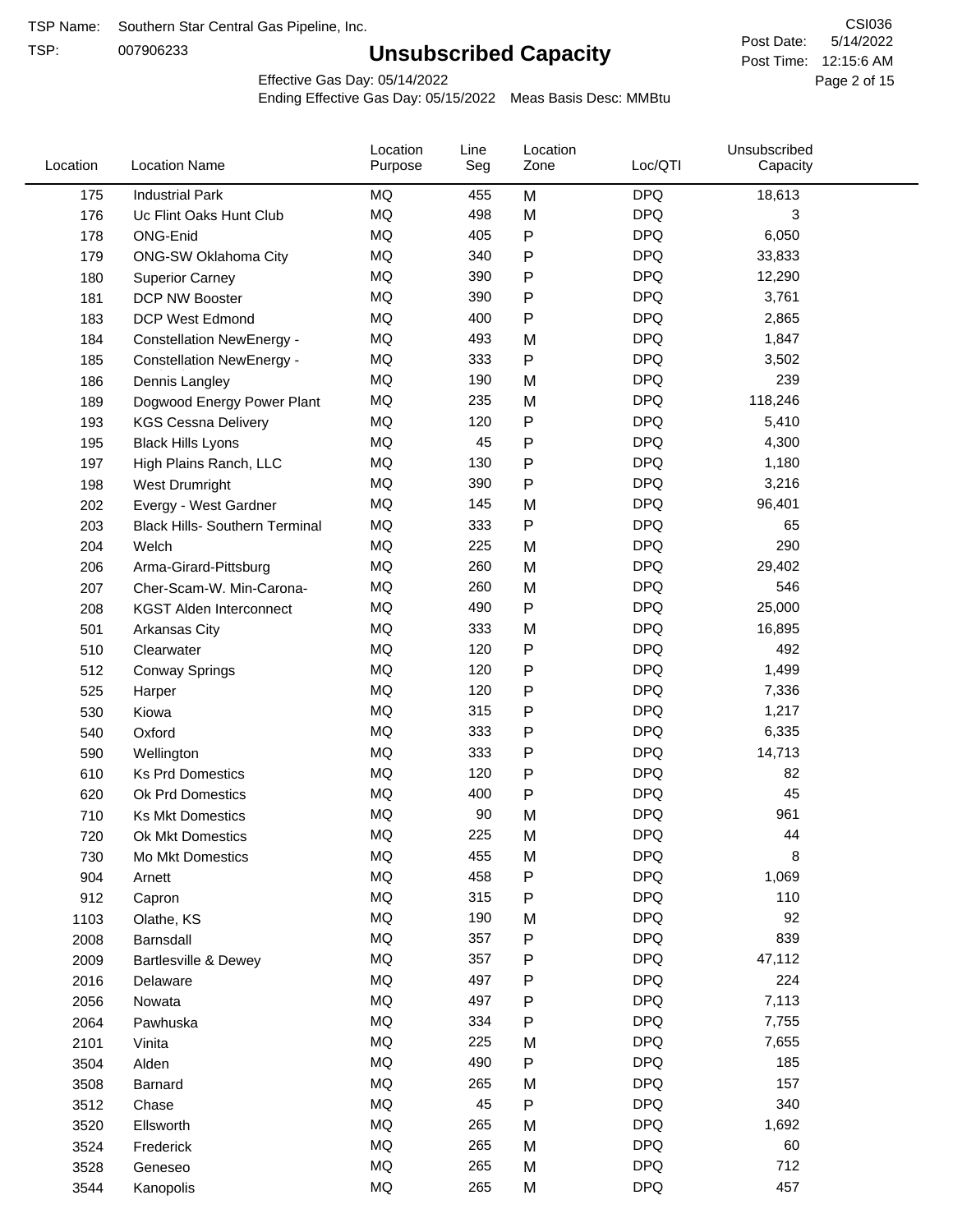TSP:

# **Unsubscribed Capacity**

5/14/2022 Page 2 of 15 Post Time: 12:15:6 AM CSI036 Post Date:

Effective Gas Day: 05/14/2022

| Location | <b>Location Name</b>                  | Location<br>Purpose | Line<br>Seg | Location<br>Zone | Loc/QTI    | Unsubscribed<br>Capacity |  |
|----------|---------------------------------------|---------------------|-------------|------------------|------------|--------------------------|--|
| 175      | <b>Industrial Park</b>                | <b>MQ</b>           | 455         | M                | <b>DPQ</b> | 18,613                   |  |
| 176      | Uc Flint Oaks Hunt Club               | MQ                  | 498         | M                | <b>DPQ</b> | 3                        |  |
| 178      | ONG-Enid                              | MQ                  | 405         | P                | <b>DPQ</b> | 6,050                    |  |
| 179      | <b>ONG-SW Oklahoma City</b>           | <b>MQ</b>           | 340         | P                | <b>DPQ</b> | 33,833                   |  |
| 180      | <b>Superior Carney</b>                | MQ                  | 390         | Ρ                | <b>DPQ</b> | 12,290                   |  |
| 181      | DCP NW Booster                        | <b>MQ</b>           | 390         | P                | <b>DPQ</b> | 3,761                    |  |
| 183      | <b>DCP West Edmond</b>                | <b>MQ</b>           | 400         | P                | <b>DPQ</b> | 2,865                    |  |
| 184      | <b>Constellation NewEnergy -</b>      | <b>MQ</b>           | 493         | M                | <b>DPQ</b> | 1,847                    |  |
| 185      | <b>Constellation NewEnergy -</b>      | MQ                  | 333         | P                | <b>DPQ</b> | 3,502                    |  |
| 186      | Dennis Langley                        | MQ                  | 190         | M                | <b>DPQ</b> | 239                      |  |
| 189      | Dogwood Energy Power Plant            | MQ                  | 235         | M                | <b>DPQ</b> | 118,246                  |  |
| 193      | <b>KGS Cessna Delivery</b>            | MQ                  | 120         | P                | <b>DPQ</b> | 5,410                    |  |
| 195      | <b>Black Hills Lyons</b>              | MQ                  | 45          | P                | <b>DPQ</b> | 4,300                    |  |
| 197      | High Plains Ranch, LLC                | <b>MQ</b>           | 130         | Ρ                | <b>DPQ</b> | 1,180                    |  |
| 198      | West Drumright                        | <b>MQ</b>           | 390         | P                | <b>DPQ</b> | 3,216                    |  |
| 202      | Evergy - West Gardner                 | <b>MQ</b>           | 145         | M                | <b>DPQ</b> | 96,401                   |  |
| 203      | <b>Black Hills- Southern Terminal</b> | MQ                  | 333         | P                | <b>DPQ</b> | 65                       |  |
| 204      | Welch                                 | MQ                  | 225         | M                | <b>DPQ</b> | 290                      |  |
| 206      | Arma-Girard-Pittsburg                 | MQ                  | 260         | M                | <b>DPQ</b> | 29,402                   |  |
| 207      | Cher-Scam-W. Min-Carona-              | MQ                  | 260         | M                | <b>DPQ</b> | 546                      |  |
| 208      | <b>KGST Alden Interconnect</b>        | MQ                  | 490         | P                | <b>DPQ</b> | 25,000                   |  |
| 501      | <b>Arkansas City</b>                  | MQ                  | 333         | M                | <b>DPQ</b> | 16,895                   |  |
| 510      | Clearwater                            | <b>MQ</b>           | 120         | P                | <b>DPQ</b> | 492                      |  |
| 512      | <b>Conway Springs</b>                 | MQ                  | 120         | P                | <b>DPQ</b> | 1,499                    |  |
| 525      | Harper                                | <b>MQ</b>           | 120         | Ρ                | <b>DPQ</b> | 7,336                    |  |
| 530      | Kiowa                                 | MQ                  | 315         | P                | <b>DPQ</b> | 1,217                    |  |
| 540      | Oxford                                | MQ                  | 333         | Ρ                | <b>DPQ</b> | 6,335                    |  |
| 590      | Wellington                            | <b>MQ</b>           | 333         | Ρ                | <b>DPQ</b> | 14,713                   |  |
| 610      | <b>Ks Prd Domestics</b>               | <b>MQ</b>           | 120         | P                | <b>DPQ</b> | 82                       |  |
| 620      | Ok Prd Domestics                      | MQ                  | 400         | P                | <b>DPQ</b> | 45                       |  |
| 710      | <b>Ks Mkt Domestics</b>               | <b>MQ</b>           | 90          | M                | <b>DPQ</b> | 961                      |  |
| 720      | Ok Mkt Domestics                      | MQ                  | 225         | M                | <b>DPQ</b> | 44                       |  |
| 730      | Mo Mkt Domestics                      | MQ                  | 455         | M                | <b>DPQ</b> | 8                        |  |
| 904      | Arnett                                | $\sf{MQ}$           | 458         | Ρ                | <b>DPQ</b> | 1,069                    |  |
| 912      | Capron                                | $\sf{MQ}$           | 315         | Ρ                | <b>DPQ</b> | 110                      |  |
| 1103     | Olathe, KS                            | $\sf{MQ}$           | 190         | M                | <b>DPQ</b> | 92                       |  |
| 2008     | Barnsdall                             | MQ                  | 357         | P                | <b>DPQ</b> | 839                      |  |
| 2009     | Bartlesville & Dewey                  | MQ                  | 357         | P                | <b>DPQ</b> | 47,112                   |  |
| 2016     | Delaware                              | MQ                  | 497         | Ρ                | <b>DPQ</b> | 224                      |  |
| 2056     | Nowata                                | $\sf{MQ}$           | 497         | Ρ                | <b>DPQ</b> | 7,113                    |  |
| 2064     | Pawhuska                              | MQ                  | 334         | Ρ                | <b>DPQ</b> | 7,755                    |  |
| 2101     | Vinita                                | MQ                  | 225         | M                | <b>DPQ</b> | 7,655                    |  |
| 3504     | Alden                                 | MQ                  | 490         | Ρ                | <b>DPQ</b> | 185                      |  |
| 3508     | Barnard                               | $\sf{MQ}$           | 265         | M                | <b>DPQ</b> | 157                      |  |
| 3512     | Chase                                 | MQ                  | 45          | Ρ                | <b>DPQ</b> | 340                      |  |
| 3520     | Ellsworth                             | MQ                  | 265         | M                | <b>DPQ</b> | 1,692                    |  |
| 3524     | Frederick                             | MQ                  | 265         | M                | <b>DPQ</b> | 60                       |  |
| 3528     | Geneseo                               | $\sf{MQ}$           | 265         | M                | <b>DPQ</b> | 712                      |  |
| 3544     | Kanopolis                             | $\sf{MQ}$           | 265         | M                | <b>DPQ</b> | 457                      |  |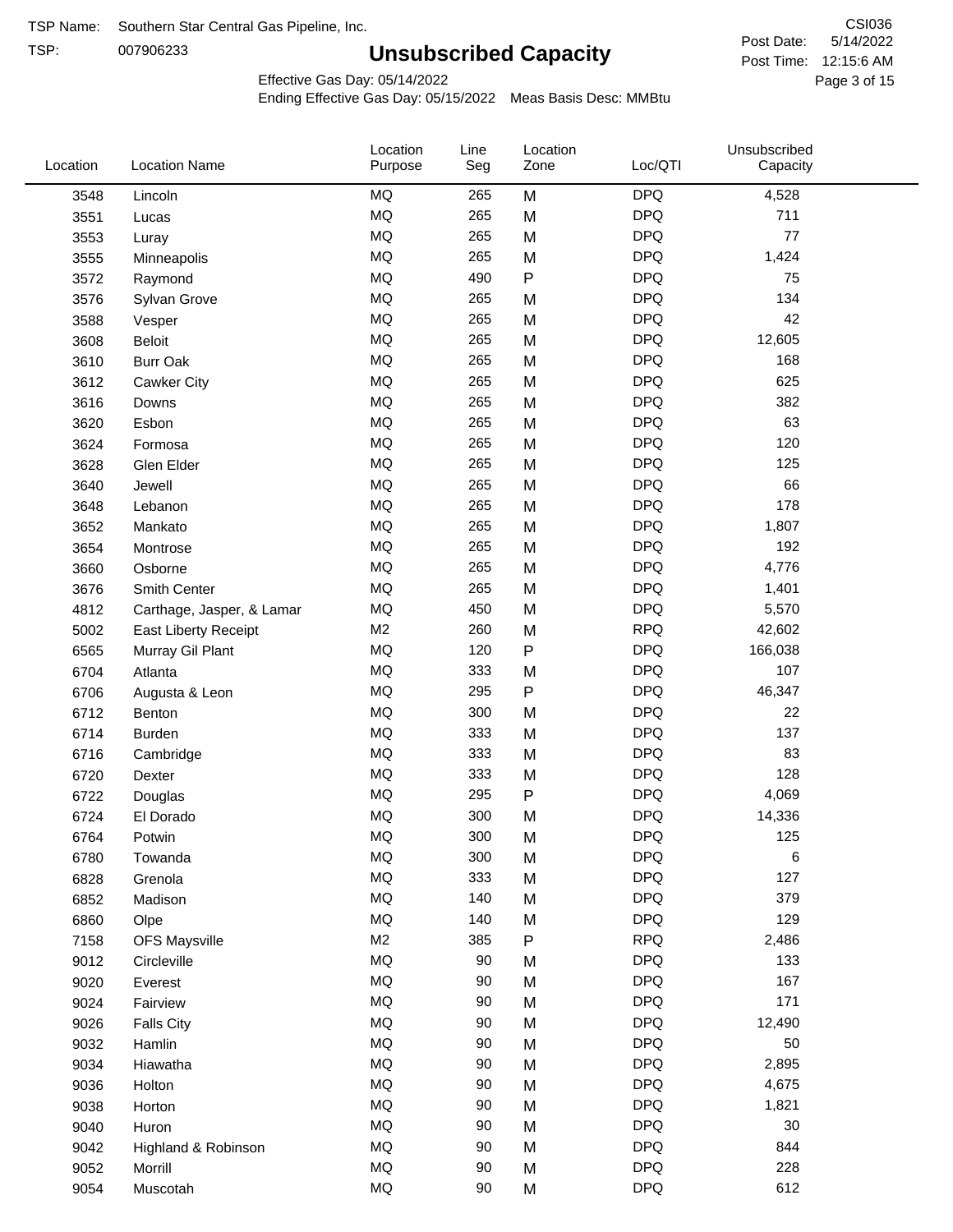TSP: 

# **Unsubscribed Capacity**

5/14/2022 Page 3 of 15 Post Time: 12:15:6 AM CSI036 Post Date:

Effective Gas Day: 05/14/2022

| Location | <b>Location Name</b>      | Location<br>Purpose | Line<br>Seg | Location<br>Zone | Loc/QTI    | Unsubscribed<br>Capacity |  |
|----------|---------------------------|---------------------|-------------|------------------|------------|--------------------------|--|
| 3548     | Lincoln                   | <b>MQ</b>           | 265         | M                | <b>DPQ</b> | 4,528                    |  |
| 3551     | Lucas                     | <b>MQ</b>           | 265         | M                | <b>DPQ</b> | 711                      |  |
| 3553     | Luray                     | <b>MQ</b>           | 265         | M                | <b>DPQ</b> | 77                       |  |
| 3555     | Minneapolis               | <b>MQ</b>           | 265         | M                | <b>DPQ</b> | 1,424                    |  |
| 3572     | Raymond                   | <b>MQ</b>           | 490         | $\sf P$          | <b>DPQ</b> | 75                       |  |
| 3576     | Sylvan Grove              | <b>MQ</b>           | 265         | M                | <b>DPQ</b> | 134                      |  |
| 3588     | Vesper                    | <b>MQ</b>           | 265         | M                | <b>DPQ</b> | 42                       |  |
| 3608     | Beloit                    | <b>MQ</b>           | 265         | M                | <b>DPQ</b> | 12,605                   |  |
| 3610     | <b>Burr Oak</b>           | <b>MQ</b>           | 265         | M                | <b>DPQ</b> | 168                      |  |
| 3612     | Cawker City               | <b>MQ</b>           | 265         | M                | <b>DPQ</b> | 625                      |  |
| 3616     | Downs                     | <b>MQ</b>           | 265         | M                | <b>DPQ</b> | 382                      |  |
| 3620     | Esbon                     | <b>MQ</b>           | 265         | M                | <b>DPQ</b> | 63                       |  |
| 3624     | Formosa                   | <b>MQ</b>           | 265         | M                | <b>DPQ</b> | 120                      |  |
| 3628     | Glen Elder                | <b>MQ</b>           | 265         | M                | <b>DPQ</b> | 125                      |  |
| 3640     | Jewell                    | <b>MQ</b>           | 265         | M                | <b>DPQ</b> | 66                       |  |
| 3648     | Lebanon                   | <b>MQ</b>           | 265         | M                | <b>DPQ</b> | 178                      |  |
| 3652     | Mankato                   | <b>MQ</b>           | 265         | M                | <b>DPQ</b> | 1,807                    |  |
| 3654     | Montrose                  | <b>MQ</b>           | 265         | M                | <b>DPQ</b> | 192                      |  |
| 3660     | Osborne                   | MQ                  | 265         | M                | <b>DPQ</b> | 4,776                    |  |
| 3676     | Smith Center              | <b>MQ</b>           | 265         | M                | <b>DPQ</b> | 1,401                    |  |
| 4812     | Carthage, Jasper, & Lamar | <b>MQ</b>           | 450         | M                | <b>DPQ</b> | 5,570                    |  |
| 5002     | East Liberty Receipt      | M <sub>2</sub>      | 260         | M                | <b>RPQ</b> | 42,602                   |  |
| 6565     | Murray Gil Plant          | <b>MQ</b>           | 120         | $\mathsf{P}$     | <b>DPQ</b> | 166,038                  |  |
| 6704     | Atlanta                   | <b>MQ</b>           | 333         | M                | <b>DPQ</b> | 107                      |  |
| 6706     | Augusta & Leon            | <b>MQ</b>           | 295         | ${\sf P}$        | <b>DPQ</b> | 46,347                   |  |
| 6712     | Benton                    | MQ                  | 300         | M                | <b>DPQ</b> | 22                       |  |
| 6714     | <b>Burden</b>             | <b>MQ</b>           | 333         | M                | <b>DPQ</b> | 137                      |  |
| 6716     | Cambridge                 | <b>MQ</b>           | 333         | M                | <b>DPQ</b> | 83                       |  |
| 6720     | Dexter                    | <b>MQ</b>           | 333         | M                | <b>DPQ</b> | 128                      |  |
| 6722     | Douglas                   | <b>MQ</b>           | 295         | P                | <b>DPQ</b> | 4,069                    |  |
| 6724     | El Dorado                 | <b>MQ</b>           | 300         | M                | <b>DPQ</b> | 14,336                   |  |
| 6764     | Potwin                    | <b>MQ</b>           | 300         | M                | <b>DPQ</b> | 125                      |  |
| 6780     | Towanda                   | MQ                  | 300         | M                | <b>DPQ</b> | 6                        |  |
| 6828     | Grenola                   | MQ                  | 333         | M                | <b>DPQ</b> | 127                      |  |
| 6852     | Madison                   | <b>MQ</b>           | 140         | M                | <b>DPQ</b> | 379                      |  |
| 6860     | Olpe                      | <b>MQ</b>           | 140         | M                | <b>DPQ</b> | 129                      |  |
| 7158     | <b>OFS Maysville</b>      | M <sub>2</sub>      | 385         | ${\sf P}$        | <b>RPQ</b> | 2,486                    |  |
| 9012     | Circleville               | MQ                  | 90          | M                | <b>DPQ</b> | 133                      |  |
| 9020     | Everest                   | MQ                  | 90          | M                | <b>DPQ</b> | 167                      |  |
| 9024     | Fairview                  | MQ                  | 90          | M                | <b>DPQ</b> | 171                      |  |
| 9026     | <b>Falls City</b>         | MQ                  | 90          | M                | <b>DPQ</b> | 12,490                   |  |
| 9032     | Hamlin                    | MQ                  | 90          | M                | <b>DPQ</b> | 50                       |  |
| 9034     | Hiawatha                  | MQ                  | 90          | M                | <b>DPQ</b> | 2,895                    |  |
| 9036     | Holton                    | <b>MQ</b>           | 90          | M                | <b>DPQ</b> | 4,675                    |  |
| 9038     | Horton                    | <b>MQ</b>           | 90          | M                | <b>DPQ</b> | 1,821                    |  |
| 9040     | Huron                     | MQ                  | 90          | M                | <b>DPQ</b> | 30                       |  |
| 9042     | Highland & Robinson       | MQ                  | 90          | M                | <b>DPQ</b> | 844                      |  |
| 9052     | Morrill                   | MQ                  | 90          | M                | <b>DPQ</b> | 228                      |  |
| 9054     | Muscotah                  | MQ                  | 90          | M                | <b>DPQ</b> | 612                      |  |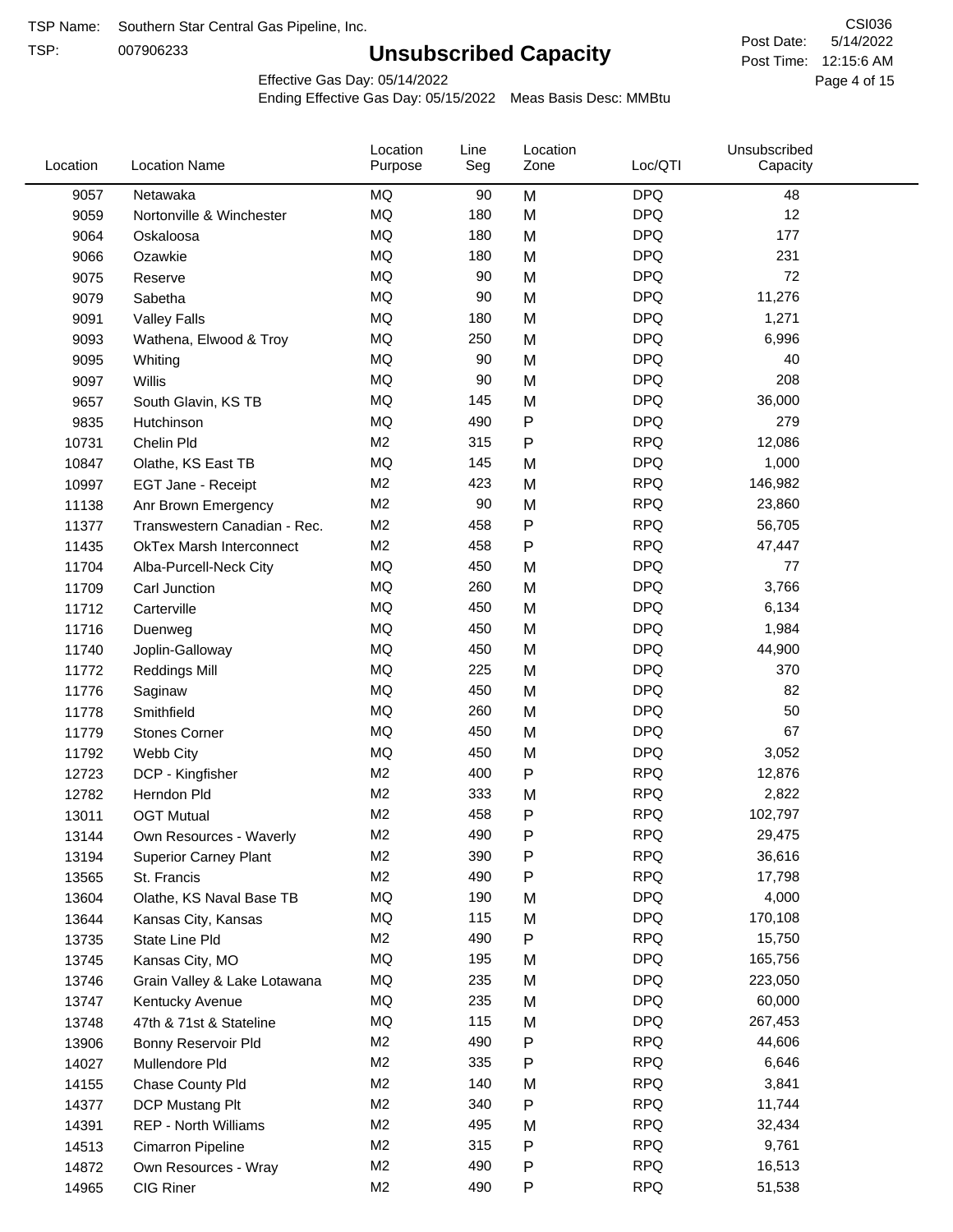TSP:

# **Unsubscribed Capacity**

5/14/2022 Page 4 of 15 Post Time: 12:15:6 AM CSI036 Post Date:

Effective Gas Day: 05/14/2022

| Location | <b>Location Name</b>            | Location<br>Purpose | Line<br>Seg | Location<br>Zone | Loc/QTI    | Unsubscribed<br>Capacity |  |
|----------|---------------------------------|---------------------|-------------|------------------|------------|--------------------------|--|
| 9057     | Netawaka                        | MQ                  | 90          | M                | <b>DPQ</b> | 48                       |  |
| 9059     | Nortonville & Winchester        | <b>MQ</b>           | 180         | M                | <b>DPQ</b> | 12                       |  |
| 9064     | Oskaloosa                       | MQ                  | 180         | M                | <b>DPQ</b> | 177                      |  |
| 9066     | Ozawkie                         | <b>MQ</b>           | 180         | M                | <b>DPQ</b> | 231                      |  |
| 9075     | Reserve                         | <b>MQ</b>           | 90          | M                | <b>DPQ</b> | 72                       |  |
| 9079     | Sabetha                         | <b>MQ</b>           | 90          | M                | <b>DPQ</b> | 11,276                   |  |
| 9091     | <b>Valley Falls</b>             | <b>MQ</b>           | 180         | M                | <b>DPQ</b> | 1,271                    |  |
| 9093     | Wathena, Elwood & Troy          | <b>MQ</b>           | 250         | M                | <b>DPQ</b> | 6,996                    |  |
| 9095     | Whiting                         | MQ                  | 90          | M                | <b>DPQ</b> | 40                       |  |
| 9097     | Willis                          | <b>MQ</b>           | 90          | M                | <b>DPQ</b> | 208                      |  |
| 9657     | South Glavin, KS TB             | <b>MQ</b>           | 145         | M                | <b>DPQ</b> | 36,000                   |  |
| 9835     | Hutchinson                      | <b>MQ</b>           | 490         | P                | <b>DPQ</b> | 279                      |  |
| 10731    | Chelin Pld                      | M <sub>2</sub>      | 315         | P                | <b>RPQ</b> | 12,086                   |  |
| 10847    | Olathe, KS East TB              | <b>MQ</b>           | 145         | M                | <b>DPQ</b> | 1,000                    |  |
| 10997    | EGT Jane - Receipt              | M <sub>2</sub>      | 423         | M                | <b>RPQ</b> | 146,982                  |  |
| 11138    | Anr Brown Emergency             | M <sub>2</sub>      | 90          | M                | <b>RPQ</b> | 23,860                   |  |
| 11377    | Transwestern Canadian - Rec.    | M <sub>2</sub>      | 458         | P                | <b>RPQ</b> | 56,705                   |  |
| 11435    | <b>OkTex Marsh Interconnect</b> | M <sub>2</sub>      | 458         | $\mathsf{P}$     | <b>RPQ</b> | 47,447                   |  |
| 11704    | Alba-Purcell-Neck City          | <b>MQ</b>           | 450         | M                | <b>DPQ</b> | 77                       |  |
| 11709    | Carl Junction                   | <b>MQ</b>           | 260         | M                | <b>DPQ</b> | 3,766                    |  |
| 11712    | Carterville                     | <b>MQ</b>           | 450         | M                | <b>DPQ</b> | 6,134                    |  |
| 11716    | Duenweg                         | <b>MQ</b>           | 450         | M                | <b>DPQ</b> | 1,984                    |  |
| 11740    | Joplin-Galloway                 | <b>MQ</b>           | 450         | M                | <b>DPQ</b> | 44,900                   |  |
| 11772    | <b>Reddings Mill</b>            | <b>MQ</b>           | 225         | M                | <b>DPQ</b> | 370                      |  |
| 11776    | Saginaw                         | <b>MQ</b>           | 450         | M                | <b>DPQ</b> | 82                       |  |
| 11778    | Smithfield                      | <b>MQ</b>           | 260         | M                | <b>DPQ</b> | 50                       |  |
| 11779    | <b>Stones Corner</b>            | <b>MQ</b>           | 450         | M                | <b>DPQ</b> | 67                       |  |
| 11792    | Webb City                       | <b>MQ</b>           | 450         | M                | <b>DPQ</b> | 3,052                    |  |
| 12723    | DCP - Kingfisher                | M <sub>2</sub>      | 400         | ${\sf P}$        | <b>RPQ</b> | 12,876                   |  |
| 12782    | Herndon Pld                     | M <sub>2</sub>      | 333         | M                | <b>RPQ</b> | 2,822                    |  |
| 13011    | <b>OGT Mutual</b>               | M <sub>2</sub>      | 458         | P                | <b>RPQ</b> | 102,797                  |  |
| 13144    | Own Resources - Waverly         | M <sub>2</sub>      | 490         | P                | <b>RPQ</b> | 29,475                   |  |
| 13194    | <b>Superior Carney Plant</b>    | M <sub>2</sub>      | 390         | P                | <b>RPQ</b> | 36,616                   |  |
| 13565    | St. Francis                     | M <sub>2</sub>      | 490         | P                | <b>RPQ</b> | 17,798                   |  |
| 13604    | Olathe, KS Naval Base TB        | MQ                  | 190         | M                | <b>DPQ</b> | 4,000                    |  |
| 13644    | Kansas City, Kansas             | MQ                  | 115         | M                | <b>DPQ</b> | 170,108                  |  |
| 13735    | State Line Pld                  | M <sub>2</sub>      | 490         | P                | <b>RPQ</b> | 15,750                   |  |
| 13745    | Kansas City, MO                 | MQ                  | 195         | M                | <b>DPQ</b> | 165,756                  |  |
| 13746    | Grain Valley & Lake Lotawana    | MQ                  | 235         | M                | <b>DPQ</b> | 223,050                  |  |
| 13747    | Kentucky Avenue                 | MQ                  | 235         | M                | <b>DPQ</b> | 60,000                   |  |
| 13748    | 47th & 71st & Stateline         | MQ                  | 115         | M                | <b>DPQ</b> | 267,453                  |  |
| 13906    | Bonny Reservoir Pld             | M <sub>2</sub>      | 490         | P                | <b>RPQ</b> | 44,606                   |  |
| 14027    | Mullendore Pld                  | M <sub>2</sub>      | 335         | P                | <b>RPQ</b> | 6,646                    |  |
| 14155    | Chase County Pld                | M <sub>2</sub>      | 140         | M                | <b>RPQ</b> | 3,841                    |  |
| 14377    | DCP Mustang Plt                 | M <sub>2</sub>      | 340         | P                | <b>RPQ</b> | 11,744                   |  |
| 14391    | <b>REP - North Williams</b>     | M <sub>2</sub>      | 495         | M                | <b>RPQ</b> | 32,434                   |  |
| 14513    | Cimarron Pipeline               | M <sub>2</sub>      | 315         | P                | <b>RPQ</b> | 9,761                    |  |
| 14872    | Own Resources - Wray            | M <sub>2</sub>      | 490         | P                | <b>RPQ</b> | 16,513                   |  |
| 14965    | CIG Riner                       | M <sub>2</sub>      | 490         | P                | <b>RPQ</b> | 51,538                   |  |
|          |                                 |                     |             |                  |            |                          |  |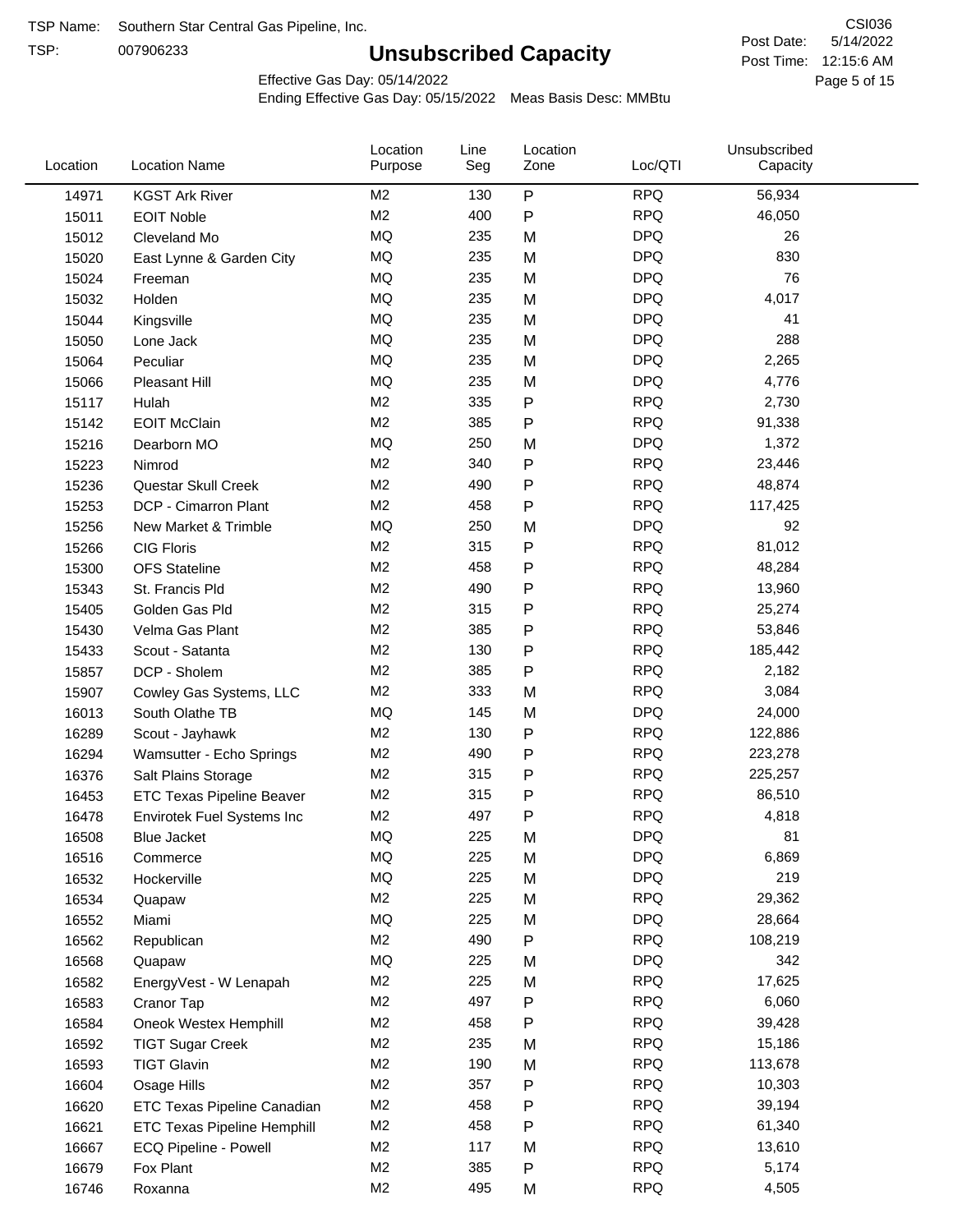TSP:

# **Unsubscribed Capacity**

5/14/2022 Page 5 of 15 Post Time: 12:15:6 AM CSI036 Post Date:

Effective Gas Day: 05/14/2022

| Location | <b>Location Name</b>             | Location<br>Purpose | Line<br>Seg | Location<br>Zone | Loc/QTI    | Unsubscribed<br>Capacity |  |
|----------|----------------------------------|---------------------|-------------|------------------|------------|--------------------------|--|
| 14971    | <b>KGST Ark River</b>            | M <sub>2</sub>      | 130         | P                | <b>RPQ</b> | 56,934                   |  |
| 15011    | <b>EOIT Noble</b>                | M <sub>2</sub>      | 400         | P                | <b>RPQ</b> | 46,050                   |  |
| 15012    | Cleveland Mo                     | <b>MQ</b>           | 235         | M                | <b>DPQ</b> | 26                       |  |
| 15020    | East Lynne & Garden City         | <b>MQ</b>           | 235         | M                | <b>DPQ</b> | 830                      |  |
| 15024    | Freeman                          | MQ                  | 235         | M                | <b>DPQ</b> | 76                       |  |
| 15032    | Holden                           | MQ                  | 235         | M                | <b>DPQ</b> | 4,017                    |  |
| 15044    | Kingsville                       | <b>MQ</b>           | 235         | M                | <b>DPQ</b> | 41                       |  |
| 15050    | Lone Jack                        | <b>MQ</b>           | 235         | M                | <b>DPQ</b> | 288                      |  |
| 15064    | Peculiar                         | <b>MQ</b>           | 235         | M                | <b>DPQ</b> | 2,265                    |  |
| 15066    | <b>Pleasant Hill</b>             | <b>MQ</b>           | 235         | M                | <b>DPQ</b> | 4,776                    |  |
| 15117    | Hulah                            | M <sub>2</sub>      | 335         | P                | <b>RPQ</b> | 2,730                    |  |
| 15142    | <b>EOIT McClain</b>              | M <sub>2</sub>      | 385         | P                | <b>RPQ</b> | 91,338                   |  |
| 15216    | Dearborn MO                      | <b>MQ</b>           | 250         | M                | <b>DPQ</b> | 1,372                    |  |
| 15223    | Nimrod                           | M <sub>2</sub>      | 340         | P                | <b>RPQ</b> | 23,446                   |  |
| 15236    | Questar Skull Creek              | M <sub>2</sub>      | 490         | P                | <b>RPQ</b> | 48,874                   |  |
| 15253    | DCP - Cimarron Plant             | M <sub>2</sub>      | 458         | P                | <b>RPQ</b> | 117,425                  |  |
| 15256    | New Market & Trimble             | <b>MQ</b>           | 250         | M                | <b>DPQ</b> | 92                       |  |
| 15266    | <b>CIG Floris</b>                | M <sub>2</sub>      | 315         | Ρ                | <b>RPQ</b> | 81,012                   |  |
| 15300    | <b>OFS Stateline</b>             | M <sub>2</sub>      | 458         | P                | <b>RPQ</b> | 48,284                   |  |
| 15343    | St. Francis Pld                  | M <sub>2</sub>      | 490         | P                | <b>RPQ</b> | 13,960                   |  |
| 15405    | Golden Gas Pld                   | M <sub>2</sub>      | 315         | P                | <b>RPQ</b> | 25,274                   |  |
| 15430    | Velma Gas Plant                  | M <sub>2</sub>      | 385         | P                | <b>RPQ</b> | 53,846                   |  |
| 15433    | Scout - Satanta                  | M <sub>2</sub>      | 130         | P                | <b>RPQ</b> | 185,442                  |  |
| 15857    | DCP - Sholem                     | M <sub>2</sub>      | 385         | P                | <b>RPQ</b> | 2,182                    |  |
| 15907    | Cowley Gas Systems, LLC          | M <sub>2</sub>      | 333         | M                | <b>RPQ</b> | 3,084                    |  |
| 16013    | South Olathe TB                  | MQ                  | 145         | M                | <b>DPQ</b> | 24,000                   |  |
| 16289    | Scout - Jayhawk                  | M <sub>2</sub>      | 130         | P                | <b>RPQ</b> | 122,886                  |  |
| 16294    | Wamsutter - Echo Springs         | M <sub>2</sub>      | 490         | P                | <b>RPQ</b> | 223,278                  |  |
| 16376    | Salt Plains Storage              | M <sub>2</sub>      | 315         | P                | <b>RPQ</b> | 225,257                  |  |
| 16453    | <b>ETC Texas Pipeline Beaver</b> | M <sub>2</sub>      | 315         | P                | <b>RPQ</b> | 86,510                   |  |
| 16478    | Envirotek Fuel Systems Inc       | M <sub>2</sub>      | 497         | P                | <b>RPQ</b> | 4,818                    |  |
| 16508    | Blue Jacket                      | MQ                  | 225         | M                | <b>DPQ</b> | 81                       |  |
| 16516    | Commerce                         | MQ                  | 225         | M                | <b>DPQ</b> | 6,869                    |  |
| 16532    | Hockerville                      | $\sf{MQ}$           | 225         | M                | <b>DPQ</b> | 219                      |  |
| 16534    | Quapaw                           | M <sub>2</sub>      | 225         | M                | <b>RPQ</b> | 29,362                   |  |
| 16552    | Miami                            | MQ                  | 225         | M                | <b>DPQ</b> | 28,664                   |  |
| 16562    | Republican                       | M <sub>2</sub>      | 490         | Ρ                | <b>RPQ</b> | 108,219                  |  |
| 16568    | Quapaw                           | <b>MQ</b>           | 225         | M                | <b>DPQ</b> | 342                      |  |
| 16582    | EnergyVest - W Lenapah           | M <sub>2</sub>      | 225         | M                | <b>RPQ</b> | 17,625                   |  |
| 16583    | Cranor Tap                       | M <sub>2</sub>      | 497         | Ρ                | <b>RPQ</b> | 6,060                    |  |
| 16584    | Oneok Westex Hemphill            | M <sub>2</sub>      | 458         | Ρ                | <b>RPQ</b> | 39,428                   |  |
| 16592    | <b>TIGT Sugar Creek</b>          | M <sub>2</sub>      | 235         | M                | <b>RPQ</b> | 15,186                   |  |
| 16593    | <b>TIGT Glavin</b>               | M <sub>2</sub>      | 190         | M                | <b>RPQ</b> | 113,678                  |  |
| 16604    | Osage Hills                      | M <sub>2</sub>      | 357         | Ρ                | <b>RPQ</b> | 10,303                   |  |
| 16620    | ETC Texas Pipeline Canadian      | M <sub>2</sub>      | 458         | Ρ                | <b>RPQ</b> | 39,194                   |  |
| 16621    | ETC Texas Pipeline Hemphill      | M <sub>2</sub>      | 458         | Ρ                | <b>RPQ</b> | 61,340                   |  |
| 16667    | ECQ Pipeline - Powell            | M <sub>2</sub>      | 117         | M                | <b>RPQ</b> | 13,610                   |  |
| 16679    | Fox Plant                        | M <sub>2</sub>      | 385         | Ρ                | <b>RPQ</b> | 5,174                    |  |
| 16746    | Roxanna                          | M <sub>2</sub>      | 495         | M                | <b>RPQ</b> | 4,505                    |  |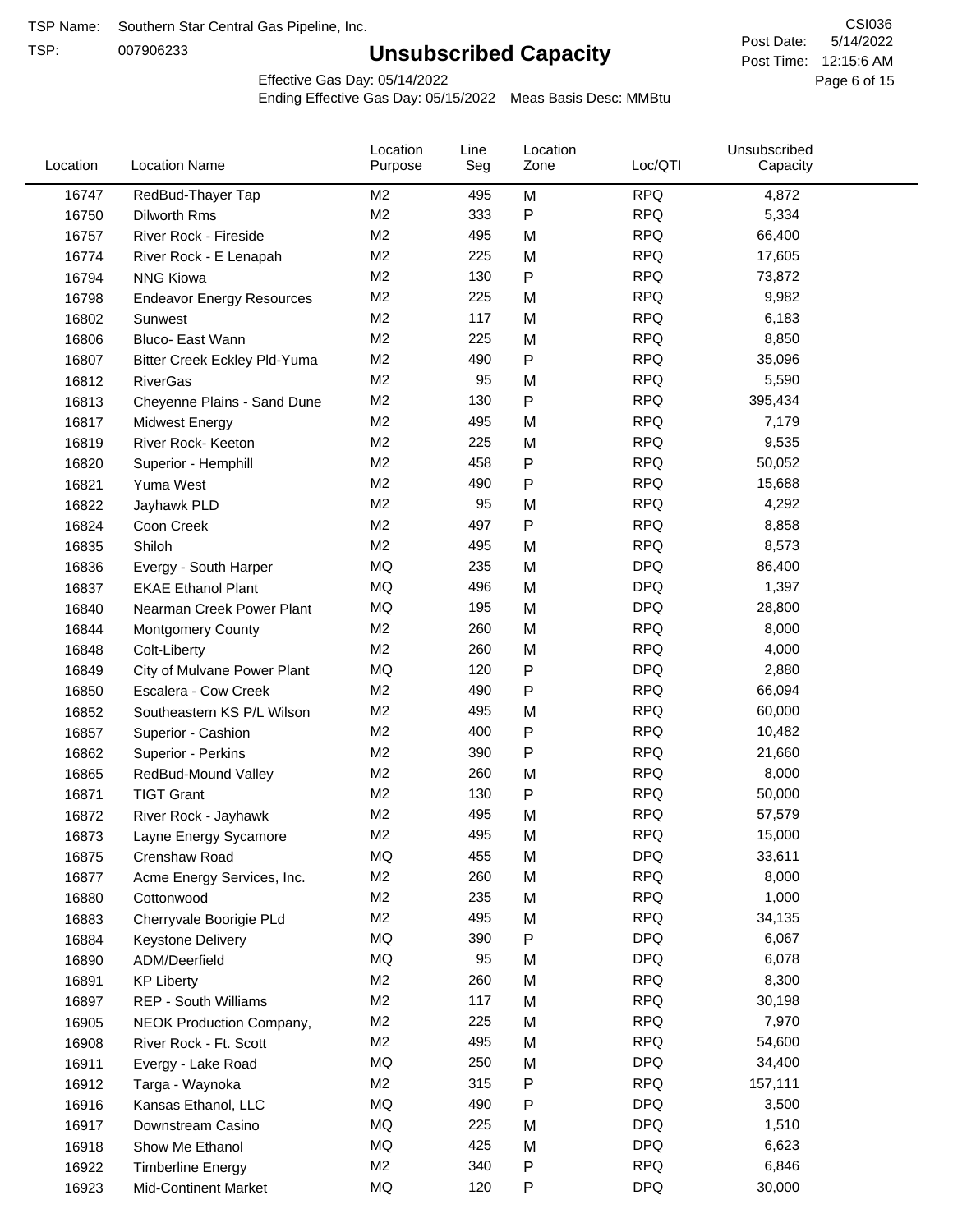TSP:

# **Unsubscribed Capacity**

5/14/2022 Page 6 of 15 Post Time: 12:15:6 AM CSI036 Post Date:

Effective Gas Day: 05/14/2022

| Location | <b>Location Name</b>             | Location<br>Purpose | Line<br>Seg | Location<br>Zone | Loc/QTI    | Unsubscribed<br>Capacity |  |
|----------|----------------------------------|---------------------|-------------|------------------|------------|--------------------------|--|
| 16747    | RedBud-Thayer Tap                | M <sub>2</sub>      | 495         | M                | <b>RPQ</b> | 4,872                    |  |
| 16750    | <b>Dilworth Rms</b>              | M <sub>2</sub>      | 333         | $\mathsf{P}$     | <b>RPQ</b> | 5,334                    |  |
| 16757    | River Rock - Fireside            | M <sub>2</sub>      | 495         | M                | <b>RPQ</b> | 66,400                   |  |
| 16774    | River Rock - E Lenapah           | M <sub>2</sub>      | 225         | M                | <b>RPQ</b> | 17,605                   |  |
| 16794    | <b>NNG Kiowa</b>                 | M <sub>2</sub>      | 130         | $\mathsf{P}$     | <b>RPQ</b> | 73,872                   |  |
| 16798    | <b>Endeavor Energy Resources</b> | M <sub>2</sub>      | 225         | M                | <b>RPQ</b> | 9,982                    |  |
| 16802    | Sunwest                          | M <sub>2</sub>      | 117         | M                | <b>RPQ</b> | 6,183                    |  |
| 16806    | Bluco- East Wann                 | M <sub>2</sub>      | 225         | M                | <b>RPQ</b> | 8,850                    |  |
| 16807    | Bitter Creek Eckley Pld-Yuma     | M <sub>2</sub>      | 490         | $\mathsf{P}$     | <b>RPQ</b> | 35,096                   |  |
| 16812    | <b>RiverGas</b>                  | M <sub>2</sub>      | 95          | M                | <b>RPQ</b> | 5,590                    |  |
| 16813    | Cheyenne Plains - Sand Dune      | M <sub>2</sub>      | 130         | $\mathsf{P}$     | <b>RPQ</b> | 395,434                  |  |
| 16817    | <b>Midwest Energy</b>            | M <sub>2</sub>      | 495         | M                | <b>RPQ</b> | 7,179                    |  |
| 16819    | River Rock- Keeton               | M <sub>2</sub>      | 225         | M                | <b>RPQ</b> | 9,535                    |  |
| 16820    | Superior - Hemphill              | M <sub>2</sub>      | 458         | $\mathsf{P}$     | <b>RPQ</b> | 50,052                   |  |
| 16821    | Yuma West                        | M <sub>2</sub>      | 490         | $\mathsf{P}$     | <b>RPQ</b> | 15,688                   |  |
| 16822    | Jayhawk PLD                      | M <sub>2</sub>      | 95          | M                | <b>RPQ</b> | 4,292                    |  |
| 16824    | Coon Creek                       | M <sub>2</sub>      | 497         | $\mathsf{P}$     | <b>RPQ</b> | 8,858                    |  |
| 16835    | Shiloh                           | M <sub>2</sub>      | 495         | M                | <b>RPQ</b> | 8,573                    |  |
| 16836    | Evergy - South Harper            | MQ                  | 235         | M                | <b>DPQ</b> | 86,400                   |  |
| 16837    | <b>EKAE Ethanol Plant</b>        | MQ                  | 496         | M                | <b>DPQ</b> | 1,397                    |  |
| 16840    | Nearman Creek Power Plant        | MQ                  | 195         | M                | <b>DPQ</b> | 28,800                   |  |
| 16844    | <b>Montgomery County</b>         | M <sub>2</sub>      | 260         | M                | <b>RPQ</b> | 8,000                    |  |
| 16848    | Colt-Liberty                     | M <sub>2</sub>      | 260         | M                | <b>RPQ</b> | 4,000                    |  |
| 16849    | City of Mulvane Power Plant      | MQ                  | 120         | ${\sf P}$        | <b>DPQ</b> | 2,880                    |  |
| 16850    | Escalera - Cow Creek             | M <sub>2</sub>      | 490         | $\mathsf{P}$     | <b>RPQ</b> | 66,094                   |  |
| 16852    | Southeastern KS P/L Wilson       | M <sub>2</sub>      | 495         | M                | <b>RPQ</b> | 60,000                   |  |
| 16857    | Superior - Cashion               | M <sub>2</sub>      | 400         | $\mathsf{P}$     | <b>RPQ</b> | 10,482                   |  |
| 16862    | Superior - Perkins               | M <sub>2</sub>      | 390         | $\mathsf{P}$     | <b>RPQ</b> | 21,660                   |  |
| 16865    | RedBud-Mound Valley              | M <sub>2</sub>      | 260         | M                | <b>RPQ</b> | 8,000                    |  |
| 16871    | <b>TIGT Grant</b>                | M <sub>2</sub>      | 130         | $\mathsf{P}$     | <b>RPQ</b> | 50,000                   |  |
| 16872    | River Rock - Jayhawk             | M <sub>2</sub>      | 495         | M                | <b>RPQ</b> | 57,579                   |  |
| 16873    | Layne Energy Sycamore            | M <sub>2</sub>      | 495         | M                | <b>RPQ</b> | 15,000                   |  |
| 16875    | Crenshaw Road                    | MQ                  | 455         | M                | <b>DPQ</b> | 33,611                   |  |
| 16877    | Acme Energy Services, Inc.       | M <sub>2</sub>      | 260         | M                | <b>RPQ</b> | 8,000                    |  |
| 16880    | Cottonwood                       | M <sub>2</sub>      | 235         | M                | <b>RPQ</b> | 1,000                    |  |
| 16883    | Cherryvale Boorigie PLd          | M <sub>2</sub>      | 495         | M                | <b>RPQ</b> | 34,135                   |  |
| 16884    | <b>Keystone Delivery</b>         | MQ                  | 390         | P                | <b>DPQ</b> | 6,067                    |  |
| 16890    | ADM/Deerfield                    | MQ                  | 95          | M                | <b>DPQ</b> | 6,078                    |  |
| 16891    | <b>KP Liberty</b>                | M <sub>2</sub>      | 260         | M                | <b>RPQ</b> | 8,300                    |  |
| 16897    | <b>REP - South Williams</b>      | M <sub>2</sub>      | 117         | M                | <b>RPQ</b> | 30,198                   |  |
| 16905    | <b>NEOK Production Company,</b>  | M <sub>2</sub>      | 225         | M                | <b>RPQ</b> | 7,970                    |  |
| 16908    | River Rock - Ft. Scott           | M <sub>2</sub>      | 495         | M                | <b>RPQ</b> | 54,600                   |  |
| 16911    | Evergy - Lake Road               | MQ                  | 250         | M                | <b>DPQ</b> | 34,400                   |  |
| 16912    | Targa - Waynoka                  | M <sub>2</sub>      | 315         | P                | <b>RPQ</b> | 157,111                  |  |
| 16916    | Kansas Ethanol, LLC              | MQ                  | 490         | $\mathsf{P}$     | <b>DPQ</b> | 3,500                    |  |
| 16917    | Downstream Casino                | MQ                  | 225         | M                | <b>DPQ</b> | 1,510                    |  |
| 16918    | Show Me Ethanol                  | MQ                  | 425         | M                | <b>DPQ</b> | 6,623                    |  |
| 16922    | <b>Timberline Energy</b>         | M <sub>2</sub>      | 340         | ${\sf P}$        | <b>RPQ</b> | 6,846                    |  |
| 16923    | <b>Mid-Continent Market</b>      | MQ                  | 120         | P                | <b>DPQ</b> | 30,000                   |  |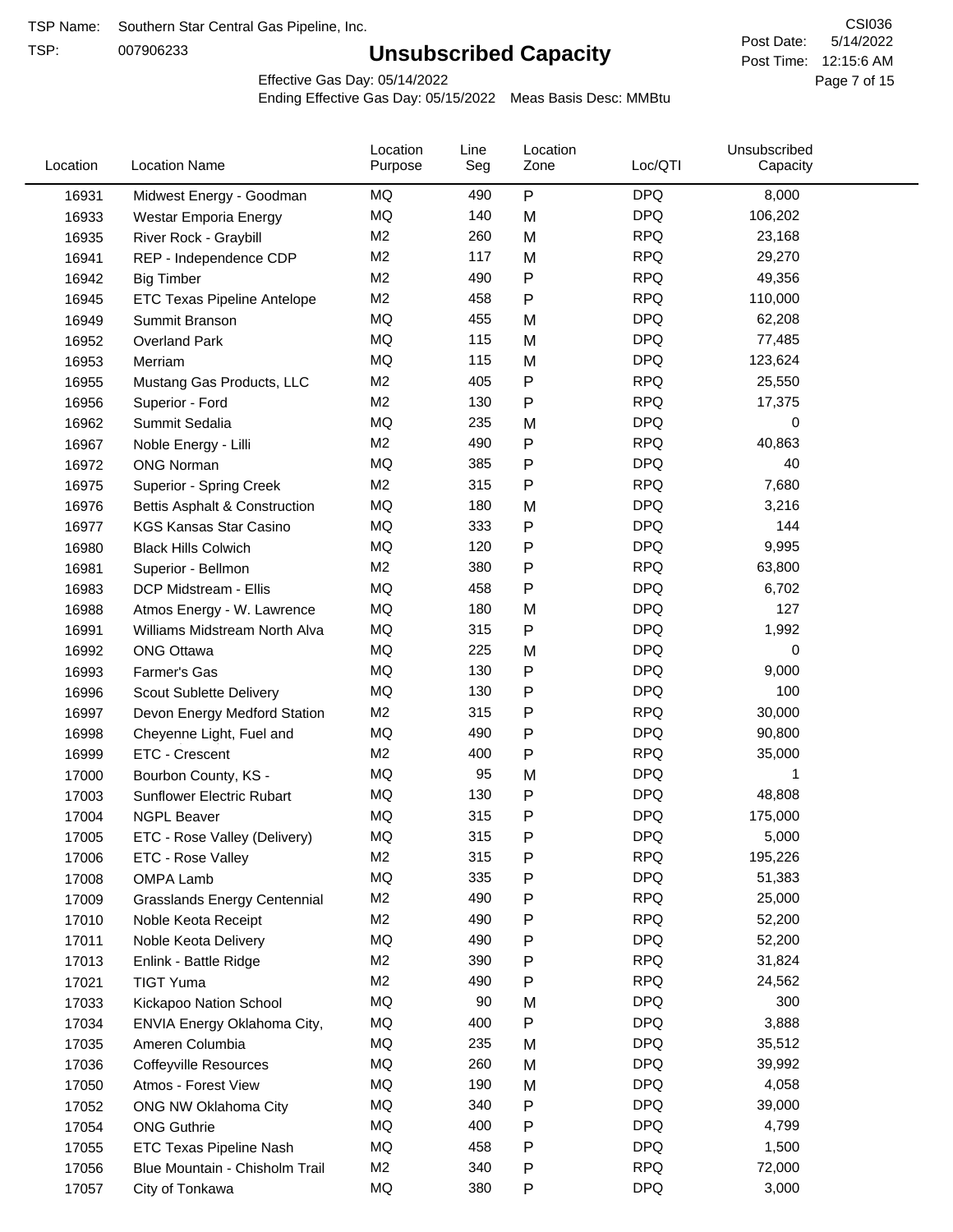TSP:

# **Unsubscribed Capacity**

5/14/2022 Page 7 of 15 Post Time: 12:15:6 AM CSI036 Post Date:

Effective Gas Day: 05/14/2022

| Location | <b>Location Name</b>                     | Location<br>Purpose | Line<br>Seg | Location<br>Zone | Loc/QTI    | Unsubscribed<br>Capacity |  |
|----------|------------------------------------------|---------------------|-------------|------------------|------------|--------------------------|--|
| 16931    | Midwest Energy - Goodman                 | MQ                  | 490         | P                | <b>DPQ</b> | 8,000                    |  |
| 16933    | Westar Emporia Energy                    | MQ                  | 140         | M                | <b>DPQ</b> | 106,202                  |  |
| 16935    | River Rock - Graybill                    | M <sub>2</sub>      | 260         | M                | <b>RPQ</b> | 23,168                   |  |
| 16941    | REP - Independence CDP                   | M <sub>2</sub>      | 117         | M                | <b>RPQ</b> | 29,270                   |  |
| 16942    | <b>Big Timber</b>                        | M <sub>2</sub>      | 490         | P                | <b>RPQ</b> | 49,356                   |  |
| 16945    | ETC Texas Pipeline Antelope              | M <sub>2</sub>      | 458         | Ρ                | <b>RPQ</b> | 110,000                  |  |
| 16949    | Summit Branson                           | MQ                  | 455         | M                | <b>DPQ</b> | 62,208                   |  |
| 16952    | <b>Overland Park</b>                     | MQ                  | 115         | M                | <b>DPQ</b> | 77,485                   |  |
| 16953    | Merriam                                  | MQ                  | 115         | M                | <b>DPQ</b> | 123,624                  |  |
| 16955    | Mustang Gas Products, LLC                | M <sub>2</sub>      | 405         | Ρ                | <b>RPQ</b> | 25,550                   |  |
| 16956    | Superior - Ford                          | M <sub>2</sub>      | 130         | Ρ                | <b>RPQ</b> | 17,375                   |  |
| 16962    | Summit Sedalia                           | <b>MQ</b>           | 235         | M                | <b>DPQ</b> | 0                        |  |
| 16967    | Noble Energy - Lilli                     | M <sub>2</sub>      | 490         | P                | <b>RPQ</b> | 40,863                   |  |
| 16972    | <b>ONG Norman</b>                        | MQ                  | 385         | P                | <b>DPQ</b> | 40                       |  |
| 16975    | <b>Superior - Spring Creek</b>           | M <sub>2</sub>      | 315         | $\mathsf{P}$     | <b>RPQ</b> | 7,680                    |  |
| 16976    | <b>Bettis Asphalt &amp; Construction</b> | MQ                  | 180         | M                | <b>DPQ</b> | 3,216                    |  |
| 16977    | <b>KGS Kansas Star Casino</b>            | MQ                  | 333         | P                | <b>DPQ</b> | 144                      |  |
| 16980    | <b>Black Hills Colwich</b>               | MQ                  | 120         | P                | <b>DPQ</b> | 9,995                    |  |
| 16981    | Superior - Bellmon                       | M <sub>2</sub>      | 380         | P                | <b>RPQ</b> | 63,800                   |  |
| 16983    | DCP Midstream - Ellis                    | MQ                  | 458         | P                | <b>DPQ</b> | 6,702                    |  |
| 16988    | Atmos Energy - W. Lawrence               | MQ                  | 180         | M                | <b>DPQ</b> | 127                      |  |
| 16991    | Williams Midstream North Alva            | MQ                  | 315         | P                | <b>DPQ</b> | 1,992                    |  |
| 16992    | <b>ONG Ottawa</b>                        | MQ                  | 225         | M                | <b>DPQ</b> | 0                        |  |
| 16993    | Farmer's Gas                             | MQ                  | 130         | Ρ                | <b>DPQ</b> | 9,000                    |  |
| 16996    | Scout Sublette Delivery                  | MQ                  | 130         | Ρ                | <b>DPQ</b> | 100                      |  |
| 16997    | Devon Energy Medford Station             | M <sub>2</sub>      | 315         | P                | <b>RPQ</b> | 30,000                   |  |
| 16998    | Cheyenne Light, Fuel and                 | MQ                  | 490         | P                | <b>DPQ</b> | 90,800                   |  |
| 16999    | ETC - Crescent                           | M <sub>2</sub>      | 400         | P                | <b>RPQ</b> | 35,000                   |  |
| 17000    | Bourbon County, KS -                     | MQ                  | 95          | M                | <b>DPQ</b> | 1                        |  |
| 17003    | Sunflower Electric Rubart                | MQ                  | 130         | P                | <b>DPQ</b> | 48,808                   |  |
| 17004    | <b>NGPL Beaver</b>                       | MQ                  | 315         | Ρ                | <b>DPQ</b> | 175,000                  |  |
| 17005    | ETC - Rose Valley (Delivery)             | $\sf{MQ}$           | 315         | P                | <b>DPQ</b> | 5,000                    |  |
| 17006    | ETC - Rose Valley                        | M <sub>2</sub>      | 315         | P                | <b>RPQ</b> | 195,226                  |  |
| 17008    | OMPA Lamb                                | MQ                  | 335         | P                | <b>DPQ</b> | 51,383                   |  |
| 17009    | <b>Grasslands Energy Centennial</b>      | M <sub>2</sub>      | 490         | P                | <b>RPQ</b> | 25,000                   |  |
| 17010    | Noble Keota Receipt                      | M <sub>2</sub>      | 490         | P                | <b>RPQ</b> | 52,200                   |  |
| 17011    | Noble Keota Delivery                     | MQ                  | 490         | P                | <b>DPQ</b> | 52,200                   |  |
| 17013    | Enlink - Battle Ridge                    | M <sub>2</sub>      | 390         | P                | <b>RPQ</b> | 31,824                   |  |
| 17021    | <b>TIGT Yuma</b>                         | M <sub>2</sub>      | 490         | Ρ                | <b>RPQ</b> | 24,562                   |  |
| 17033    | Kickapoo Nation School                   | MQ                  | 90          | M                | <b>DPQ</b> | 300                      |  |
| 17034    | ENVIA Energy Oklahoma City,              | MQ                  | 400         | P                | <b>DPQ</b> | 3,888                    |  |
| 17035    | Ameren Columbia                          | MQ                  | 235         | M                | <b>DPQ</b> | 35,512                   |  |
| 17036    | <b>Coffeyville Resources</b>             | MQ                  | 260         | M                | <b>DPQ</b> | 39,992                   |  |
| 17050    | Atmos - Forest View                      | MQ                  | 190         | M                | <b>DPQ</b> | 4,058                    |  |
| 17052    | ONG NW Oklahoma City                     | MQ                  | 340         | P                | <b>DPQ</b> | 39,000                   |  |
| 17054    | <b>ONG Guthrie</b>                       | MQ                  | 400         | P                | <b>DPQ</b> | 4,799                    |  |
| 17055    | ETC Texas Pipeline Nash                  | MQ                  | 458         | P                | <b>DPQ</b> | 1,500                    |  |
| 17056    | Blue Mountain - Chisholm Trail           | M <sub>2</sub>      | 340         | P                | <b>RPQ</b> | 72,000                   |  |
| 17057    | City of Tonkawa                          | MQ                  | 380         | Ρ                | <b>DPQ</b> | 3,000                    |  |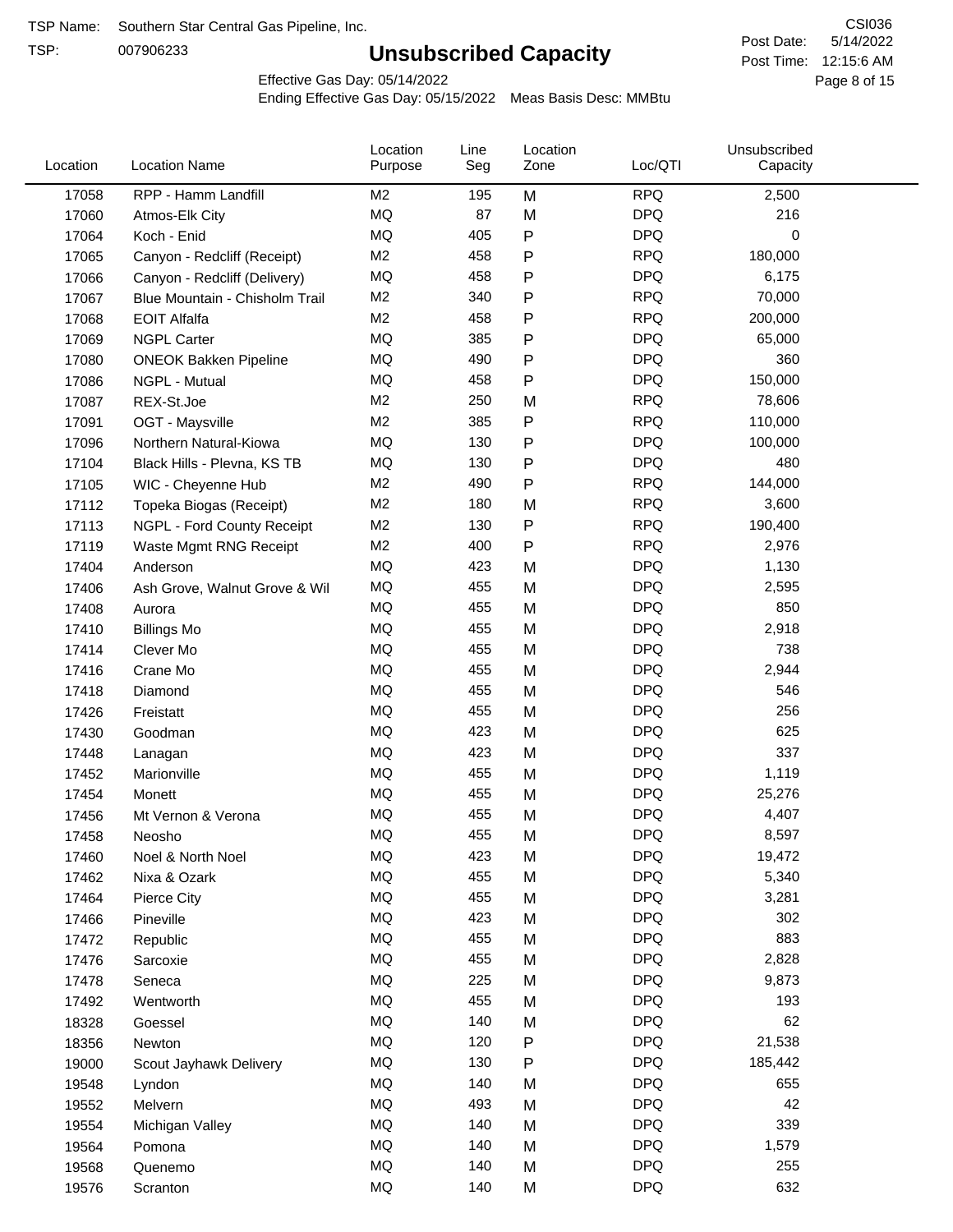TSP:

# **Unsubscribed Capacity**

5/14/2022 Page 8 of 15 Post Time: 12:15:6 AM CSI036 Post Date:

Effective Gas Day: 05/14/2022

| Location | <b>Location Name</b>           | Location<br>Purpose | Line<br>Seg | Location<br>Zone | Loc/QTI    | Unsubscribed<br>Capacity |  |
|----------|--------------------------------|---------------------|-------------|------------------|------------|--------------------------|--|
| 17058    | RPP - Hamm Landfill            | M <sub>2</sub>      | 195         | M                | <b>RPQ</b> | 2,500                    |  |
| 17060    | Atmos-Elk City                 | MQ                  | 87          | M                | <b>DPQ</b> | 216                      |  |
| 17064    | Koch - Enid                    | MQ                  | 405         | P                | <b>DPQ</b> | 0                        |  |
| 17065    | Canyon - Redcliff (Receipt)    | M <sub>2</sub>      | 458         | P                | <b>RPQ</b> | 180,000                  |  |
| 17066    | Canyon - Redcliff (Delivery)   | <b>MQ</b>           | 458         | P                | <b>DPQ</b> | 6,175                    |  |
| 17067    | Blue Mountain - Chisholm Trail | M <sub>2</sub>      | 340         | P                | <b>RPQ</b> | 70,000                   |  |
| 17068    | <b>EOIT Alfalfa</b>            | M <sub>2</sub>      | 458         | P                | <b>RPQ</b> | 200,000                  |  |
| 17069    | <b>NGPL Carter</b>             | MQ                  | 385         | P                | <b>DPQ</b> | 65,000                   |  |
| 17080    | <b>ONEOK Bakken Pipeline</b>   | MQ                  | 490         | Ρ                | <b>DPQ</b> | 360                      |  |
| 17086    | NGPL - Mutual                  | MQ                  | 458         | P                | <b>DPQ</b> | 150,000                  |  |
| 17087    | REX-St.Joe                     | M <sub>2</sub>      | 250         | M                | <b>RPQ</b> | 78,606                   |  |
| 17091    | OGT - Maysville                | M <sub>2</sub>      | 385         | P                | <b>RPQ</b> | 110,000                  |  |
| 17096    | Northern Natural-Kiowa         | MQ                  | 130         | P                | <b>DPQ</b> | 100,000                  |  |
| 17104    | Black Hills - Plevna, KS TB    | MQ                  | 130         | Ρ                | <b>DPQ</b> | 480                      |  |
| 17105    | WIC - Cheyenne Hub             | M <sub>2</sub>      | 490         | P                | <b>RPQ</b> | 144,000                  |  |
| 17112    | Topeka Biogas (Receipt)        | M <sub>2</sub>      | 180         | M                | <b>RPQ</b> | 3,600                    |  |
| 17113    | NGPL - Ford County Receipt     | M <sub>2</sub>      | 130         | P                | <b>RPQ</b> | 190,400                  |  |
| 17119    | Waste Mgmt RNG Receipt         | M <sub>2</sub>      | 400         | P                | <b>RPQ</b> | 2,976                    |  |
| 17404    | Anderson                       | MQ                  | 423         | M                | <b>DPQ</b> | 1,130                    |  |
| 17406    | Ash Grove, Walnut Grove & Wil  | <b>MQ</b>           | 455         | M                | <b>DPQ</b> | 2,595                    |  |
| 17408    | Aurora                         | MQ                  | 455         | M                | <b>DPQ</b> | 850                      |  |
| 17410    | <b>Billings Mo</b>             | MQ                  | 455         | M                | <b>DPQ</b> | 2,918                    |  |
| 17414    | Clever Mo                      | MQ                  | 455         | M                | <b>DPQ</b> | 738                      |  |
| 17416    | Crane Mo                       | MQ                  | 455         | M                | <b>DPQ</b> | 2,944                    |  |
| 17418    | Diamond                        | MQ                  | 455         | M                | <b>DPQ</b> | 546                      |  |
| 17426    | Freistatt                      | MQ                  | 455         | M                | <b>DPQ</b> | 256                      |  |
| 17430    | Goodman                        | MQ                  | 423         | M                | <b>DPQ</b> | 625                      |  |
| 17448    | Lanagan                        | MQ                  | 423         | M                | <b>DPQ</b> | 337                      |  |
| 17452    | Marionville                    | MQ                  | 455         | M                | <b>DPQ</b> | 1,119                    |  |
| 17454    | Monett                         | MQ                  | 455         | M                | <b>DPQ</b> | 25,276                   |  |
| 17456    | Mt Vernon & Verona             | <b>MQ</b>           | 455         | M                | <b>DPQ</b> | 4,407                    |  |
| 17458    | Neosho                         | MQ                  | 455         | M                | <b>DPQ</b> | 8,597                    |  |
| 17460    | Noel & North Noel              | MQ                  | 423         | M                | <b>DPQ</b> | 19,472                   |  |
| 17462    | Nixa & Ozark                   | MQ                  | 455         | M                | <b>DPQ</b> | 5,340                    |  |
| 17464    | Pierce City                    | MQ                  | 455         | M                | <b>DPQ</b> | 3,281                    |  |
| 17466    | Pineville                      | MQ                  | 423         | M                | <b>DPQ</b> | 302                      |  |
| 17472    | Republic                       | MQ                  | 455         | M                | <b>DPQ</b> | 883                      |  |
| 17476    | Sarcoxie                       | MQ                  | 455         | M                | <b>DPQ</b> | 2,828                    |  |
| 17478    | Seneca                         | MQ                  | 225         | M                | <b>DPQ</b> | 9,873                    |  |
| 17492    | Wentworth                      | MQ                  | 455         | M                | <b>DPQ</b> | 193                      |  |
| 18328    | Goessel                        | MQ                  | 140         | M                | <b>DPQ</b> | 62                       |  |
| 18356    | Newton                         | MQ                  | 120         | Ρ                | <b>DPQ</b> | 21,538                   |  |
| 19000    | Scout Jayhawk Delivery         | MQ                  | 130         | Ρ                | <b>DPQ</b> | 185,442                  |  |
| 19548    | Lyndon                         | MQ                  | 140         | M                | <b>DPQ</b> | 655                      |  |
| 19552    | Melvern                        | MQ                  | 493         | M                | <b>DPQ</b> | 42                       |  |
| 19554    | Michigan Valley                | MQ                  | 140         | Μ                | <b>DPQ</b> | 339                      |  |
| 19564    | Pomona                         | MQ                  | 140         | M                | <b>DPQ</b> | 1,579                    |  |
| 19568    | Quenemo                        | MQ                  | 140         | M                | <b>DPQ</b> | 255                      |  |
| 19576    | Scranton                       | $\sf{MQ}$           | 140         | M                | <b>DPQ</b> | 632                      |  |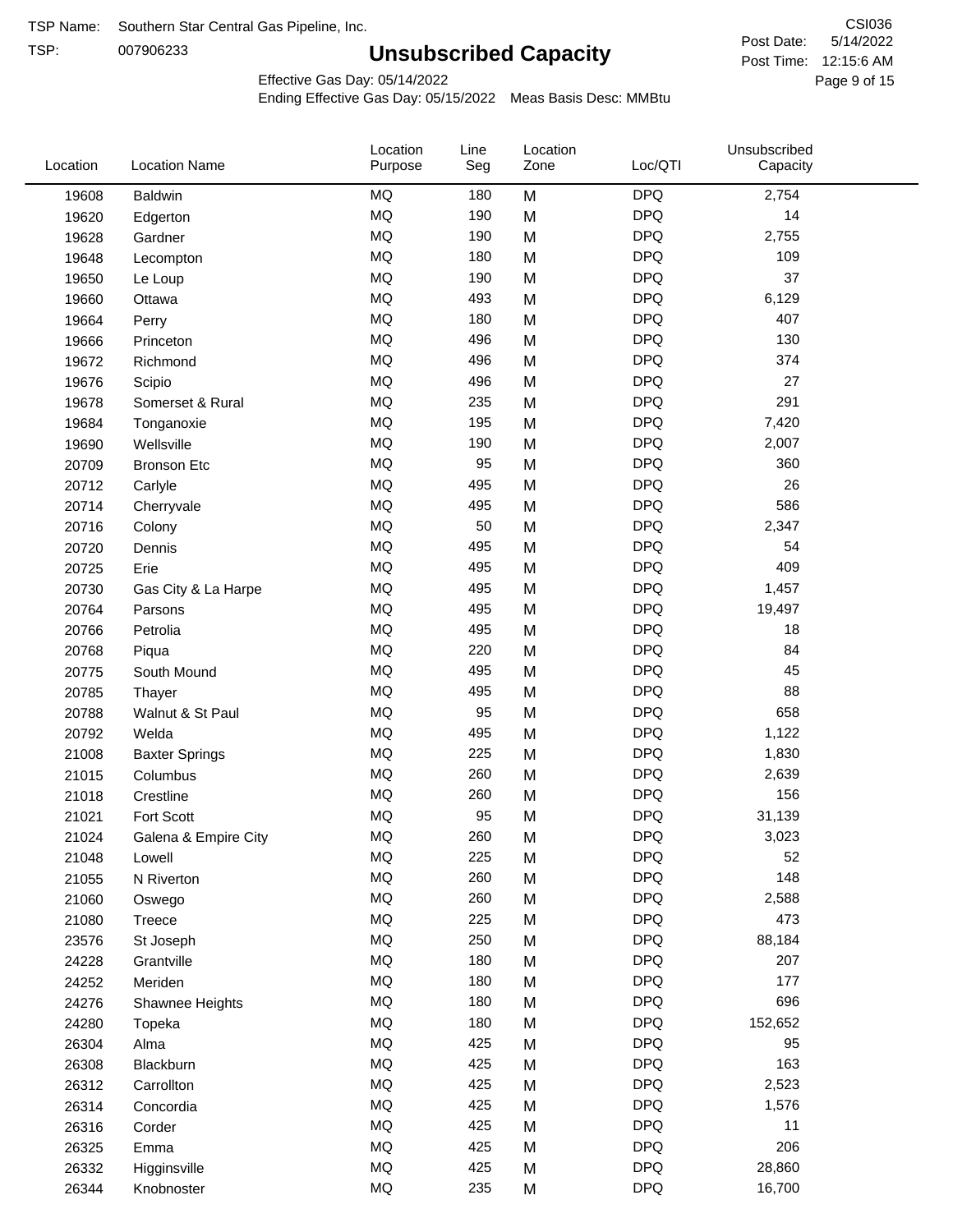TSP:

# **Unsubscribed Capacity**

5/14/2022 Page 9 of 15 Post Time: 12:15:6 AM CSI036 Post Date:

Effective Gas Day: 05/14/2022

| <b>MQ</b><br><b>DPQ</b><br>2,754<br>180<br>M<br><b>Baldwin</b><br>19608<br>MQ<br><b>DPQ</b><br>190<br>14<br>M<br>19620<br>Edgerton<br><b>MQ</b><br><b>DPQ</b><br>190<br>M<br>2,755<br>19628<br>Gardner<br><b>MQ</b><br><b>DPQ</b><br>109<br>180<br>19648<br>M<br>Lecompton<br><b>MQ</b><br><b>DPQ</b><br>M<br>37<br>190<br>19650<br>Le Loup<br><b>MQ</b><br><b>DPQ</b><br>493<br>6,129<br>19660<br>M<br>Ottawa<br>MQ<br><b>DPQ</b><br>407<br>180<br>M<br>19664<br>Perry<br>MQ<br><b>DPQ</b><br>130<br>496<br>19666<br>M<br>Princeton<br><b>MQ</b><br><b>DPQ</b><br>374<br>19672<br>496<br>M<br>Richmond<br><b>MQ</b><br>M<br><b>DPQ</b><br>27<br>496<br>19676<br>Scipio<br>MQ<br><b>DPQ</b><br>291<br>235<br>M<br>19678<br>Somerset & Rural<br><b>MQ</b><br><b>DPQ</b><br>195<br>M<br>7,420<br>19684<br>Tonganoxie<br><b>MQ</b><br><b>DPQ</b><br>190<br>2,007<br>19690<br>Wellsville<br>M<br><b>MQ</b><br>95<br><b>DPQ</b><br>M<br>360<br>20709<br><b>Bronson Etc</b><br><b>MQ</b><br><b>DPQ</b><br>26<br>495<br>M<br>20712<br>Carlyle<br>MQ<br><b>DPQ</b><br>586<br>495<br>M<br>20714<br>Cherryvale<br>MQ<br>50<br><b>DPQ</b><br>2,347<br>M<br>20716<br>Colony<br>MQ<br><b>DPQ</b><br>495<br>M<br>54<br>20720<br>Dennis<br>MQ<br><b>DPQ</b><br>409<br>495<br>M<br>20725<br>Erie<br><b>MQ</b><br><b>DPQ</b><br>495<br>M<br>1,457<br>20730<br>Gas City & La Harpe<br><b>MQ</b><br><b>DPQ</b><br>495<br>19,497<br>20764<br>M<br>Parsons<br><b>MQ</b><br><b>DPQ</b><br>495<br>M<br>18<br>20766<br>Petrolia<br><b>MQ</b><br><b>DPQ</b><br>84<br>220<br>20768<br>M<br>Piqua<br><b>MQ</b><br><b>DPQ</b><br>45<br>495<br>M<br>20775<br>South Mound<br>MQ<br><b>DPQ</b><br>88<br>495<br>M<br>20785<br>Thayer<br>MQ<br>95<br><b>DPQ</b><br>658<br>20788<br>M<br>Walnut & St Paul<br>MQ<br><b>DPQ</b><br>495<br>M<br>1,122<br>20792<br>Welda<br><b>MQ</b><br><b>DPQ</b><br>225<br>1,830<br>21008<br>M<br><b>Baxter Springs</b><br><b>MQ</b><br><b>DPQ</b><br>260<br>M<br>2,639<br>21015<br>Columbus<br><b>MQ</b><br><b>DPQ</b><br>156<br>260<br>M<br>21018<br>Crestline<br><b>MQ</b><br>95<br><b>DPQ</b><br>Fort Scott<br>M<br>31,139<br>21021<br><b>MQ</b><br>260<br><b>DPQ</b><br>3,023<br>21024<br>M<br>Galena & Empire City<br>MQ<br>225<br><b>DPQ</b><br>52<br>M<br>21048<br>Lowell<br>MQ<br><b>DPQ</b><br>148<br>260<br>M<br>21055<br>N Riverton<br>MQ<br><b>DPQ</b><br>260<br>M<br>2,588<br>21060<br>Oswego<br>MQ<br>225<br><b>DPQ</b><br>473<br>21080<br>M<br><b>Treece</b><br>MQ<br>250<br><b>DPQ</b><br>M<br>88,184<br>23576<br>St Joseph<br>MQ<br><b>DPQ</b><br>180<br>207<br>24228<br>M<br>Grantville<br>$\sf{MQ}$<br><b>DPQ</b><br>180<br>177<br>24252<br>Meriden<br>M<br>MQ<br><b>DPQ</b><br>696<br>180<br>24276<br>M<br>Shawnee Heights<br>MQ<br><b>DPQ</b><br>180<br>152,652<br>24280<br>M<br>Topeka<br>MQ<br><b>DPQ</b><br>425<br>M<br>95<br>26304<br>Alma<br>MQ<br><b>DPQ</b><br>163<br>425<br>26308<br>M<br>Blackburn<br>MQ<br>425<br>M<br><b>DPQ</b><br>2,523<br>26312<br>Carrollton<br>MQ<br>425<br><b>DPQ</b><br>1,576<br>26314<br>M<br>Concordia<br>MQ<br><b>DPQ</b><br>425<br>11<br>M<br>26316<br>Corder<br>MQ<br><b>DPQ</b><br>206<br>425<br>M<br>26325<br>Emma<br>$\sf{MQ}$<br><b>DPQ</b><br>425<br>28,860<br>M<br>26332<br>Higginsville<br>$\sf{MQ}$<br><b>DPQ</b><br>235<br>16,700<br>26344<br>M<br>Knobnoster | Location | <b>Location Name</b> | Location<br>Purpose | Line<br>Seg | Location<br>Zone | Loc/QTI | Unsubscribed<br>Capacity |
|----------------------------------------------------------------------------------------------------------------------------------------------------------------------------------------------------------------------------------------------------------------------------------------------------------------------------------------------------------------------------------------------------------------------------------------------------------------------------------------------------------------------------------------------------------------------------------------------------------------------------------------------------------------------------------------------------------------------------------------------------------------------------------------------------------------------------------------------------------------------------------------------------------------------------------------------------------------------------------------------------------------------------------------------------------------------------------------------------------------------------------------------------------------------------------------------------------------------------------------------------------------------------------------------------------------------------------------------------------------------------------------------------------------------------------------------------------------------------------------------------------------------------------------------------------------------------------------------------------------------------------------------------------------------------------------------------------------------------------------------------------------------------------------------------------------------------------------------------------------------------------------------------------------------------------------------------------------------------------------------------------------------------------------------------------------------------------------------------------------------------------------------------------------------------------------------------------------------------------------------------------------------------------------------------------------------------------------------------------------------------------------------------------------------------------------------------------------------------------------------------------------------------------------------------------------------------------------------------------------------------------------------------------------------------------------------------------------------------------------------------------------------------------------------------------------------------------------------------------------------------------------------------------------------------------------------------------------------------------------------------------------------------------------------------------------------------------------------------------------------------------------------------------------------------------------------------------------------------------------------------------------------------------------------------------------------------------|----------|----------------------|---------------------|-------------|------------------|---------|--------------------------|
|                                                                                                                                                                                                                                                                                                                                                                                                                                                                                                                                                                                                                                                                                                                                                                                                                                                                                                                                                                                                                                                                                                                                                                                                                                                                                                                                                                                                                                                                                                                                                                                                                                                                                                                                                                                                                                                                                                                                                                                                                                                                                                                                                                                                                                                                                                                                                                                                                                                                                                                                                                                                                                                                                                                                                                                                                                                                                                                                                                                                                                                                                                                                                                                                                                                                                                                                  |          |                      |                     |             |                  |         |                          |
|                                                                                                                                                                                                                                                                                                                                                                                                                                                                                                                                                                                                                                                                                                                                                                                                                                                                                                                                                                                                                                                                                                                                                                                                                                                                                                                                                                                                                                                                                                                                                                                                                                                                                                                                                                                                                                                                                                                                                                                                                                                                                                                                                                                                                                                                                                                                                                                                                                                                                                                                                                                                                                                                                                                                                                                                                                                                                                                                                                                                                                                                                                                                                                                                                                                                                                                                  |          |                      |                     |             |                  |         |                          |
|                                                                                                                                                                                                                                                                                                                                                                                                                                                                                                                                                                                                                                                                                                                                                                                                                                                                                                                                                                                                                                                                                                                                                                                                                                                                                                                                                                                                                                                                                                                                                                                                                                                                                                                                                                                                                                                                                                                                                                                                                                                                                                                                                                                                                                                                                                                                                                                                                                                                                                                                                                                                                                                                                                                                                                                                                                                                                                                                                                                                                                                                                                                                                                                                                                                                                                                                  |          |                      |                     |             |                  |         |                          |
|                                                                                                                                                                                                                                                                                                                                                                                                                                                                                                                                                                                                                                                                                                                                                                                                                                                                                                                                                                                                                                                                                                                                                                                                                                                                                                                                                                                                                                                                                                                                                                                                                                                                                                                                                                                                                                                                                                                                                                                                                                                                                                                                                                                                                                                                                                                                                                                                                                                                                                                                                                                                                                                                                                                                                                                                                                                                                                                                                                                                                                                                                                                                                                                                                                                                                                                                  |          |                      |                     |             |                  |         |                          |
|                                                                                                                                                                                                                                                                                                                                                                                                                                                                                                                                                                                                                                                                                                                                                                                                                                                                                                                                                                                                                                                                                                                                                                                                                                                                                                                                                                                                                                                                                                                                                                                                                                                                                                                                                                                                                                                                                                                                                                                                                                                                                                                                                                                                                                                                                                                                                                                                                                                                                                                                                                                                                                                                                                                                                                                                                                                                                                                                                                                                                                                                                                                                                                                                                                                                                                                                  |          |                      |                     |             |                  |         |                          |
|                                                                                                                                                                                                                                                                                                                                                                                                                                                                                                                                                                                                                                                                                                                                                                                                                                                                                                                                                                                                                                                                                                                                                                                                                                                                                                                                                                                                                                                                                                                                                                                                                                                                                                                                                                                                                                                                                                                                                                                                                                                                                                                                                                                                                                                                                                                                                                                                                                                                                                                                                                                                                                                                                                                                                                                                                                                                                                                                                                                                                                                                                                                                                                                                                                                                                                                                  |          |                      |                     |             |                  |         |                          |
|                                                                                                                                                                                                                                                                                                                                                                                                                                                                                                                                                                                                                                                                                                                                                                                                                                                                                                                                                                                                                                                                                                                                                                                                                                                                                                                                                                                                                                                                                                                                                                                                                                                                                                                                                                                                                                                                                                                                                                                                                                                                                                                                                                                                                                                                                                                                                                                                                                                                                                                                                                                                                                                                                                                                                                                                                                                                                                                                                                                                                                                                                                                                                                                                                                                                                                                                  |          |                      |                     |             |                  |         |                          |
|                                                                                                                                                                                                                                                                                                                                                                                                                                                                                                                                                                                                                                                                                                                                                                                                                                                                                                                                                                                                                                                                                                                                                                                                                                                                                                                                                                                                                                                                                                                                                                                                                                                                                                                                                                                                                                                                                                                                                                                                                                                                                                                                                                                                                                                                                                                                                                                                                                                                                                                                                                                                                                                                                                                                                                                                                                                                                                                                                                                                                                                                                                                                                                                                                                                                                                                                  |          |                      |                     |             |                  |         |                          |
|                                                                                                                                                                                                                                                                                                                                                                                                                                                                                                                                                                                                                                                                                                                                                                                                                                                                                                                                                                                                                                                                                                                                                                                                                                                                                                                                                                                                                                                                                                                                                                                                                                                                                                                                                                                                                                                                                                                                                                                                                                                                                                                                                                                                                                                                                                                                                                                                                                                                                                                                                                                                                                                                                                                                                                                                                                                                                                                                                                                                                                                                                                                                                                                                                                                                                                                                  |          |                      |                     |             |                  |         |                          |
|                                                                                                                                                                                                                                                                                                                                                                                                                                                                                                                                                                                                                                                                                                                                                                                                                                                                                                                                                                                                                                                                                                                                                                                                                                                                                                                                                                                                                                                                                                                                                                                                                                                                                                                                                                                                                                                                                                                                                                                                                                                                                                                                                                                                                                                                                                                                                                                                                                                                                                                                                                                                                                                                                                                                                                                                                                                                                                                                                                                                                                                                                                                                                                                                                                                                                                                                  |          |                      |                     |             |                  |         |                          |
|                                                                                                                                                                                                                                                                                                                                                                                                                                                                                                                                                                                                                                                                                                                                                                                                                                                                                                                                                                                                                                                                                                                                                                                                                                                                                                                                                                                                                                                                                                                                                                                                                                                                                                                                                                                                                                                                                                                                                                                                                                                                                                                                                                                                                                                                                                                                                                                                                                                                                                                                                                                                                                                                                                                                                                                                                                                                                                                                                                                                                                                                                                                                                                                                                                                                                                                                  |          |                      |                     |             |                  |         |                          |
|                                                                                                                                                                                                                                                                                                                                                                                                                                                                                                                                                                                                                                                                                                                                                                                                                                                                                                                                                                                                                                                                                                                                                                                                                                                                                                                                                                                                                                                                                                                                                                                                                                                                                                                                                                                                                                                                                                                                                                                                                                                                                                                                                                                                                                                                                                                                                                                                                                                                                                                                                                                                                                                                                                                                                                                                                                                                                                                                                                                                                                                                                                                                                                                                                                                                                                                                  |          |                      |                     |             |                  |         |                          |
|                                                                                                                                                                                                                                                                                                                                                                                                                                                                                                                                                                                                                                                                                                                                                                                                                                                                                                                                                                                                                                                                                                                                                                                                                                                                                                                                                                                                                                                                                                                                                                                                                                                                                                                                                                                                                                                                                                                                                                                                                                                                                                                                                                                                                                                                                                                                                                                                                                                                                                                                                                                                                                                                                                                                                                                                                                                                                                                                                                                                                                                                                                                                                                                                                                                                                                                                  |          |                      |                     |             |                  |         |                          |
|                                                                                                                                                                                                                                                                                                                                                                                                                                                                                                                                                                                                                                                                                                                                                                                                                                                                                                                                                                                                                                                                                                                                                                                                                                                                                                                                                                                                                                                                                                                                                                                                                                                                                                                                                                                                                                                                                                                                                                                                                                                                                                                                                                                                                                                                                                                                                                                                                                                                                                                                                                                                                                                                                                                                                                                                                                                                                                                                                                                                                                                                                                                                                                                                                                                                                                                                  |          |                      |                     |             |                  |         |                          |
|                                                                                                                                                                                                                                                                                                                                                                                                                                                                                                                                                                                                                                                                                                                                                                                                                                                                                                                                                                                                                                                                                                                                                                                                                                                                                                                                                                                                                                                                                                                                                                                                                                                                                                                                                                                                                                                                                                                                                                                                                                                                                                                                                                                                                                                                                                                                                                                                                                                                                                                                                                                                                                                                                                                                                                                                                                                                                                                                                                                                                                                                                                                                                                                                                                                                                                                                  |          |                      |                     |             |                  |         |                          |
|                                                                                                                                                                                                                                                                                                                                                                                                                                                                                                                                                                                                                                                                                                                                                                                                                                                                                                                                                                                                                                                                                                                                                                                                                                                                                                                                                                                                                                                                                                                                                                                                                                                                                                                                                                                                                                                                                                                                                                                                                                                                                                                                                                                                                                                                                                                                                                                                                                                                                                                                                                                                                                                                                                                                                                                                                                                                                                                                                                                                                                                                                                                                                                                                                                                                                                                                  |          |                      |                     |             |                  |         |                          |
|                                                                                                                                                                                                                                                                                                                                                                                                                                                                                                                                                                                                                                                                                                                                                                                                                                                                                                                                                                                                                                                                                                                                                                                                                                                                                                                                                                                                                                                                                                                                                                                                                                                                                                                                                                                                                                                                                                                                                                                                                                                                                                                                                                                                                                                                                                                                                                                                                                                                                                                                                                                                                                                                                                                                                                                                                                                                                                                                                                                                                                                                                                                                                                                                                                                                                                                                  |          |                      |                     |             |                  |         |                          |
|                                                                                                                                                                                                                                                                                                                                                                                                                                                                                                                                                                                                                                                                                                                                                                                                                                                                                                                                                                                                                                                                                                                                                                                                                                                                                                                                                                                                                                                                                                                                                                                                                                                                                                                                                                                                                                                                                                                                                                                                                                                                                                                                                                                                                                                                                                                                                                                                                                                                                                                                                                                                                                                                                                                                                                                                                                                                                                                                                                                                                                                                                                                                                                                                                                                                                                                                  |          |                      |                     |             |                  |         |                          |
|                                                                                                                                                                                                                                                                                                                                                                                                                                                                                                                                                                                                                                                                                                                                                                                                                                                                                                                                                                                                                                                                                                                                                                                                                                                                                                                                                                                                                                                                                                                                                                                                                                                                                                                                                                                                                                                                                                                                                                                                                                                                                                                                                                                                                                                                                                                                                                                                                                                                                                                                                                                                                                                                                                                                                                                                                                                                                                                                                                                                                                                                                                                                                                                                                                                                                                                                  |          |                      |                     |             |                  |         |                          |
|                                                                                                                                                                                                                                                                                                                                                                                                                                                                                                                                                                                                                                                                                                                                                                                                                                                                                                                                                                                                                                                                                                                                                                                                                                                                                                                                                                                                                                                                                                                                                                                                                                                                                                                                                                                                                                                                                                                                                                                                                                                                                                                                                                                                                                                                                                                                                                                                                                                                                                                                                                                                                                                                                                                                                                                                                                                                                                                                                                                                                                                                                                                                                                                                                                                                                                                                  |          |                      |                     |             |                  |         |                          |
|                                                                                                                                                                                                                                                                                                                                                                                                                                                                                                                                                                                                                                                                                                                                                                                                                                                                                                                                                                                                                                                                                                                                                                                                                                                                                                                                                                                                                                                                                                                                                                                                                                                                                                                                                                                                                                                                                                                                                                                                                                                                                                                                                                                                                                                                                                                                                                                                                                                                                                                                                                                                                                                                                                                                                                                                                                                                                                                                                                                                                                                                                                                                                                                                                                                                                                                                  |          |                      |                     |             |                  |         |                          |
|                                                                                                                                                                                                                                                                                                                                                                                                                                                                                                                                                                                                                                                                                                                                                                                                                                                                                                                                                                                                                                                                                                                                                                                                                                                                                                                                                                                                                                                                                                                                                                                                                                                                                                                                                                                                                                                                                                                                                                                                                                                                                                                                                                                                                                                                                                                                                                                                                                                                                                                                                                                                                                                                                                                                                                                                                                                                                                                                                                                                                                                                                                                                                                                                                                                                                                                                  |          |                      |                     |             |                  |         |                          |
|                                                                                                                                                                                                                                                                                                                                                                                                                                                                                                                                                                                                                                                                                                                                                                                                                                                                                                                                                                                                                                                                                                                                                                                                                                                                                                                                                                                                                                                                                                                                                                                                                                                                                                                                                                                                                                                                                                                                                                                                                                                                                                                                                                                                                                                                                                                                                                                                                                                                                                                                                                                                                                                                                                                                                                                                                                                                                                                                                                                                                                                                                                                                                                                                                                                                                                                                  |          |                      |                     |             |                  |         |                          |
|                                                                                                                                                                                                                                                                                                                                                                                                                                                                                                                                                                                                                                                                                                                                                                                                                                                                                                                                                                                                                                                                                                                                                                                                                                                                                                                                                                                                                                                                                                                                                                                                                                                                                                                                                                                                                                                                                                                                                                                                                                                                                                                                                                                                                                                                                                                                                                                                                                                                                                                                                                                                                                                                                                                                                                                                                                                                                                                                                                                                                                                                                                                                                                                                                                                                                                                                  |          |                      |                     |             |                  |         |                          |
|                                                                                                                                                                                                                                                                                                                                                                                                                                                                                                                                                                                                                                                                                                                                                                                                                                                                                                                                                                                                                                                                                                                                                                                                                                                                                                                                                                                                                                                                                                                                                                                                                                                                                                                                                                                                                                                                                                                                                                                                                                                                                                                                                                                                                                                                                                                                                                                                                                                                                                                                                                                                                                                                                                                                                                                                                                                                                                                                                                                                                                                                                                                                                                                                                                                                                                                                  |          |                      |                     |             |                  |         |                          |
|                                                                                                                                                                                                                                                                                                                                                                                                                                                                                                                                                                                                                                                                                                                                                                                                                                                                                                                                                                                                                                                                                                                                                                                                                                                                                                                                                                                                                                                                                                                                                                                                                                                                                                                                                                                                                                                                                                                                                                                                                                                                                                                                                                                                                                                                                                                                                                                                                                                                                                                                                                                                                                                                                                                                                                                                                                                                                                                                                                                                                                                                                                                                                                                                                                                                                                                                  |          |                      |                     |             |                  |         |                          |
|                                                                                                                                                                                                                                                                                                                                                                                                                                                                                                                                                                                                                                                                                                                                                                                                                                                                                                                                                                                                                                                                                                                                                                                                                                                                                                                                                                                                                                                                                                                                                                                                                                                                                                                                                                                                                                                                                                                                                                                                                                                                                                                                                                                                                                                                                                                                                                                                                                                                                                                                                                                                                                                                                                                                                                                                                                                                                                                                                                                                                                                                                                                                                                                                                                                                                                                                  |          |                      |                     |             |                  |         |                          |
|                                                                                                                                                                                                                                                                                                                                                                                                                                                                                                                                                                                                                                                                                                                                                                                                                                                                                                                                                                                                                                                                                                                                                                                                                                                                                                                                                                                                                                                                                                                                                                                                                                                                                                                                                                                                                                                                                                                                                                                                                                                                                                                                                                                                                                                                                                                                                                                                                                                                                                                                                                                                                                                                                                                                                                                                                                                                                                                                                                                                                                                                                                                                                                                                                                                                                                                                  |          |                      |                     |             |                  |         |                          |
|                                                                                                                                                                                                                                                                                                                                                                                                                                                                                                                                                                                                                                                                                                                                                                                                                                                                                                                                                                                                                                                                                                                                                                                                                                                                                                                                                                                                                                                                                                                                                                                                                                                                                                                                                                                                                                                                                                                                                                                                                                                                                                                                                                                                                                                                                                                                                                                                                                                                                                                                                                                                                                                                                                                                                                                                                                                                                                                                                                                                                                                                                                                                                                                                                                                                                                                                  |          |                      |                     |             |                  |         |                          |
|                                                                                                                                                                                                                                                                                                                                                                                                                                                                                                                                                                                                                                                                                                                                                                                                                                                                                                                                                                                                                                                                                                                                                                                                                                                                                                                                                                                                                                                                                                                                                                                                                                                                                                                                                                                                                                                                                                                                                                                                                                                                                                                                                                                                                                                                                                                                                                                                                                                                                                                                                                                                                                                                                                                                                                                                                                                                                                                                                                                                                                                                                                                                                                                                                                                                                                                                  |          |                      |                     |             |                  |         |                          |
|                                                                                                                                                                                                                                                                                                                                                                                                                                                                                                                                                                                                                                                                                                                                                                                                                                                                                                                                                                                                                                                                                                                                                                                                                                                                                                                                                                                                                                                                                                                                                                                                                                                                                                                                                                                                                                                                                                                                                                                                                                                                                                                                                                                                                                                                                                                                                                                                                                                                                                                                                                                                                                                                                                                                                                                                                                                                                                                                                                                                                                                                                                                                                                                                                                                                                                                                  |          |                      |                     |             |                  |         |                          |
|                                                                                                                                                                                                                                                                                                                                                                                                                                                                                                                                                                                                                                                                                                                                                                                                                                                                                                                                                                                                                                                                                                                                                                                                                                                                                                                                                                                                                                                                                                                                                                                                                                                                                                                                                                                                                                                                                                                                                                                                                                                                                                                                                                                                                                                                                                                                                                                                                                                                                                                                                                                                                                                                                                                                                                                                                                                                                                                                                                                                                                                                                                                                                                                                                                                                                                                                  |          |                      |                     |             |                  |         |                          |
|                                                                                                                                                                                                                                                                                                                                                                                                                                                                                                                                                                                                                                                                                                                                                                                                                                                                                                                                                                                                                                                                                                                                                                                                                                                                                                                                                                                                                                                                                                                                                                                                                                                                                                                                                                                                                                                                                                                                                                                                                                                                                                                                                                                                                                                                                                                                                                                                                                                                                                                                                                                                                                                                                                                                                                                                                                                                                                                                                                                                                                                                                                                                                                                                                                                                                                                                  |          |                      |                     |             |                  |         |                          |
|                                                                                                                                                                                                                                                                                                                                                                                                                                                                                                                                                                                                                                                                                                                                                                                                                                                                                                                                                                                                                                                                                                                                                                                                                                                                                                                                                                                                                                                                                                                                                                                                                                                                                                                                                                                                                                                                                                                                                                                                                                                                                                                                                                                                                                                                                                                                                                                                                                                                                                                                                                                                                                                                                                                                                                                                                                                                                                                                                                                                                                                                                                                                                                                                                                                                                                                                  |          |                      |                     |             |                  |         |                          |
|                                                                                                                                                                                                                                                                                                                                                                                                                                                                                                                                                                                                                                                                                                                                                                                                                                                                                                                                                                                                                                                                                                                                                                                                                                                                                                                                                                                                                                                                                                                                                                                                                                                                                                                                                                                                                                                                                                                                                                                                                                                                                                                                                                                                                                                                                                                                                                                                                                                                                                                                                                                                                                                                                                                                                                                                                                                                                                                                                                                                                                                                                                                                                                                                                                                                                                                                  |          |                      |                     |             |                  |         |                          |
|                                                                                                                                                                                                                                                                                                                                                                                                                                                                                                                                                                                                                                                                                                                                                                                                                                                                                                                                                                                                                                                                                                                                                                                                                                                                                                                                                                                                                                                                                                                                                                                                                                                                                                                                                                                                                                                                                                                                                                                                                                                                                                                                                                                                                                                                                                                                                                                                                                                                                                                                                                                                                                                                                                                                                                                                                                                                                                                                                                                                                                                                                                                                                                                                                                                                                                                                  |          |                      |                     |             |                  |         |                          |
|                                                                                                                                                                                                                                                                                                                                                                                                                                                                                                                                                                                                                                                                                                                                                                                                                                                                                                                                                                                                                                                                                                                                                                                                                                                                                                                                                                                                                                                                                                                                                                                                                                                                                                                                                                                                                                                                                                                                                                                                                                                                                                                                                                                                                                                                                                                                                                                                                                                                                                                                                                                                                                                                                                                                                                                                                                                                                                                                                                                                                                                                                                                                                                                                                                                                                                                                  |          |                      |                     |             |                  |         |                          |
|                                                                                                                                                                                                                                                                                                                                                                                                                                                                                                                                                                                                                                                                                                                                                                                                                                                                                                                                                                                                                                                                                                                                                                                                                                                                                                                                                                                                                                                                                                                                                                                                                                                                                                                                                                                                                                                                                                                                                                                                                                                                                                                                                                                                                                                                                                                                                                                                                                                                                                                                                                                                                                                                                                                                                                                                                                                                                                                                                                                                                                                                                                                                                                                                                                                                                                                                  |          |                      |                     |             |                  |         |                          |
|                                                                                                                                                                                                                                                                                                                                                                                                                                                                                                                                                                                                                                                                                                                                                                                                                                                                                                                                                                                                                                                                                                                                                                                                                                                                                                                                                                                                                                                                                                                                                                                                                                                                                                                                                                                                                                                                                                                                                                                                                                                                                                                                                                                                                                                                                                                                                                                                                                                                                                                                                                                                                                                                                                                                                                                                                                                                                                                                                                                                                                                                                                                                                                                                                                                                                                                                  |          |                      |                     |             |                  |         |                          |
|                                                                                                                                                                                                                                                                                                                                                                                                                                                                                                                                                                                                                                                                                                                                                                                                                                                                                                                                                                                                                                                                                                                                                                                                                                                                                                                                                                                                                                                                                                                                                                                                                                                                                                                                                                                                                                                                                                                                                                                                                                                                                                                                                                                                                                                                                                                                                                                                                                                                                                                                                                                                                                                                                                                                                                                                                                                                                                                                                                                                                                                                                                                                                                                                                                                                                                                                  |          |                      |                     |             |                  |         |                          |
|                                                                                                                                                                                                                                                                                                                                                                                                                                                                                                                                                                                                                                                                                                                                                                                                                                                                                                                                                                                                                                                                                                                                                                                                                                                                                                                                                                                                                                                                                                                                                                                                                                                                                                                                                                                                                                                                                                                                                                                                                                                                                                                                                                                                                                                                                                                                                                                                                                                                                                                                                                                                                                                                                                                                                                                                                                                                                                                                                                                                                                                                                                                                                                                                                                                                                                                                  |          |                      |                     |             |                  |         |                          |
|                                                                                                                                                                                                                                                                                                                                                                                                                                                                                                                                                                                                                                                                                                                                                                                                                                                                                                                                                                                                                                                                                                                                                                                                                                                                                                                                                                                                                                                                                                                                                                                                                                                                                                                                                                                                                                                                                                                                                                                                                                                                                                                                                                                                                                                                                                                                                                                                                                                                                                                                                                                                                                                                                                                                                                                                                                                                                                                                                                                                                                                                                                                                                                                                                                                                                                                                  |          |                      |                     |             |                  |         |                          |
|                                                                                                                                                                                                                                                                                                                                                                                                                                                                                                                                                                                                                                                                                                                                                                                                                                                                                                                                                                                                                                                                                                                                                                                                                                                                                                                                                                                                                                                                                                                                                                                                                                                                                                                                                                                                                                                                                                                                                                                                                                                                                                                                                                                                                                                                                                                                                                                                                                                                                                                                                                                                                                                                                                                                                                                                                                                                                                                                                                                                                                                                                                                                                                                                                                                                                                                                  |          |                      |                     |             |                  |         |                          |
|                                                                                                                                                                                                                                                                                                                                                                                                                                                                                                                                                                                                                                                                                                                                                                                                                                                                                                                                                                                                                                                                                                                                                                                                                                                                                                                                                                                                                                                                                                                                                                                                                                                                                                                                                                                                                                                                                                                                                                                                                                                                                                                                                                                                                                                                                                                                                                                                                                                                                                                                                                                                                                                                                                                                                                                                                                                                                                                                                                                                                                                                                                                                                                                                                                                                                                                                  |          |                      |                     |             |                  |         |                          |
|                                                                                                                                                                                                                                                                                                                                                                                                                                                                                                                                                                                                                                                                                                                                                                                                                                                                                                                                                                                                                                                                                                                                                                                                                                                                                                                                                                                                                                                                                                                                                                                                                                                                                                                                                                                                                                                                                                                                                                                                                                                                                                                                                                                                                                                                                                                                                                                                                                                                                                                                                                                                                                                                                                                                                                                                                                                                                                                                                                                                                                                                                                                                                                                                                                                                                                                                  |          |                      |                     |             |                  |         |                          |
|                                                                                                                                                                                                                                                                                                                                                                                                                                                                                                                                                                                                                                                                                                                                                                                                                                                                                                                                                                                                                                                                                                                                                                                                                                                                                                                                                                                                                                                                                                                                                                                                                                                                                                                                                                                                                                                                                                                                                                                                                                                                                                                                                                                                                                                                                                                                                                                                                                                                                                                                                                                                                                                                                                                                                                                                                                                                                                                                                                                                                                                                                                                                                                                                                                                                                                                                  |          |                      |                     |             |                  |         |                          |
|                                                                                                                                                                                                                                                                                                                                                                                                                                                                                                                                                                                                                                                                                                                                                                                                                                                                                                                                                                                                                                                                                                                                                                                                                                                                                                                                                                                                                                                                                                                                                                                                                                                                                                                                                                                                                                                                                                                                                                                                                                                                                                                                                                                                                                                                                                                                                                                                                                                                                                                                                                                                                                                                                                                                                                                                                                                                                                                                                                                                                                                                                                                                                                                                                                                                                                                                  |          |                      |                     |             |                  |         |                          |
|                                                                                                                                                                                                                                                                                                                                                                                                                                                                                                                                                                                                                                                                                                                                                                                                                                                                                                                                                                                                                                                                                                                                                                                                                                                                                                                                                                                                                                                                                                                                                                                                                                                                                                                                                                                                                                                                                                                                                                                                                                                                                                                                                                                                                                                                                                                                                                                                                                                                                                                                                                                                                                                                                                                                                                                                                                                                                                                                                                                                                                                                                                                                                                                                                                                                                                                                  |          |                      |                     |             |                  |         |                          |
|                                                                                                                                                                                                                                                                                                                                                                                                                                                                                                                                                                                                                                                                                                                                                                                                                                                                                                                                                                                                                                                                                                                                                                                                                                                                                                                                                                                                                                                                                                                                                                                                                                                                                                                                                                                                                                                                                                                                                                                                                                                                                                                                                                                                                                                                                                                                                                                                                                                                                                                                                                                                                                                                                                                                                                                                                                                                                                                                                                                                                                                                                                                                                                                                                                                                                                                                  |          |                      |                     |             |                  |         |                          |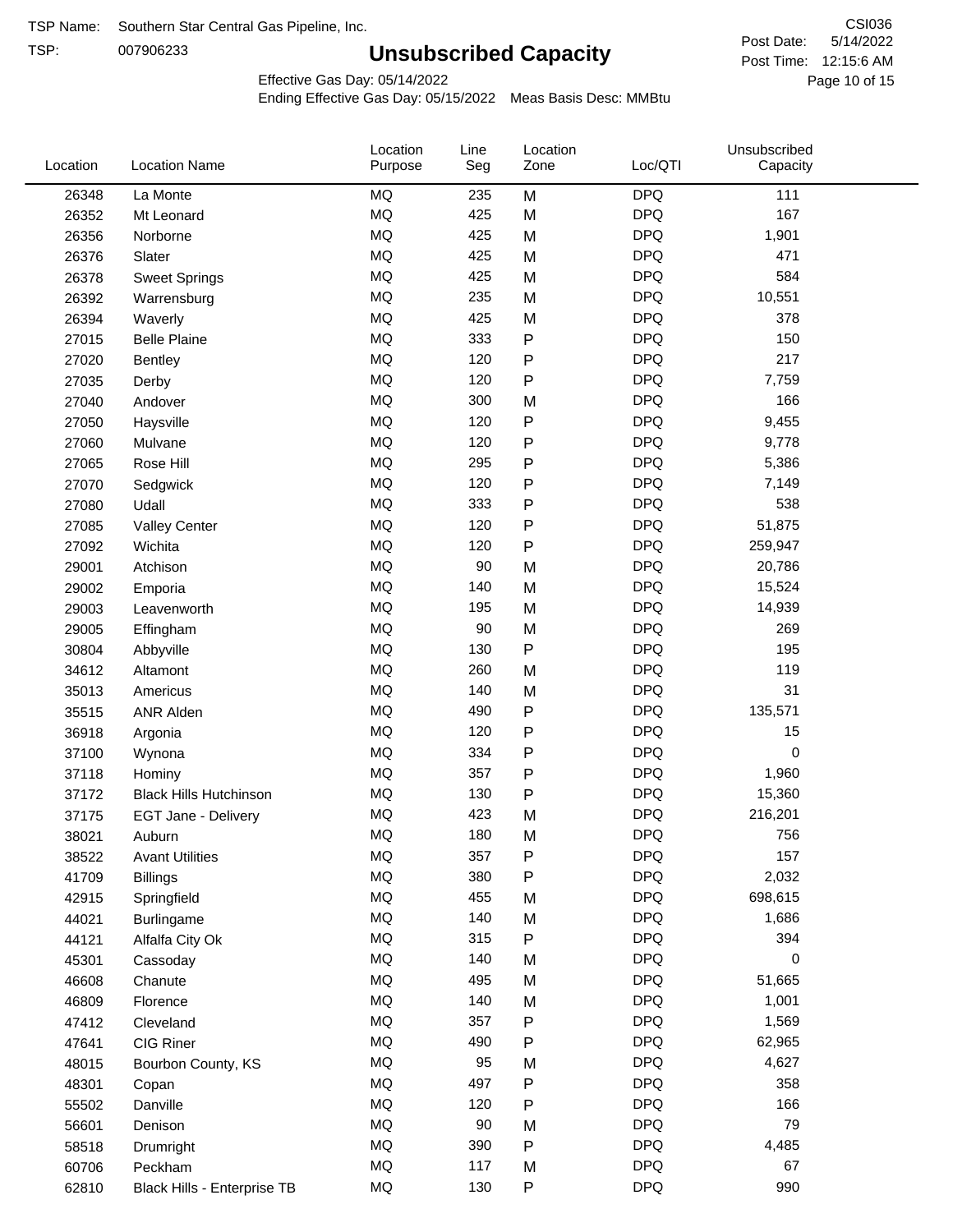TSP:

# **Unsubscribed Capacity**

5/14/2022 Page 10 of 15 Post Time: 12:15:6 AM CSI036 Post Date:

Effective Gas Day: 05/14/2022

| Location | <b>Location Name</b>          | Location<br>Purpose | Line<br>Seg | Location<br>Zone | Loc/QTI    | Unsubscribed<br>Capacity |  |
|----------|-------------------------------|---------------------|-------------|------------------|------------|--------------------------|--|
| 26348    | La Monte                      | <b>MQ</b>           | 235         | M                | <b>DPQ</b> | 111                      |  |
| 26352    | Mt Leonard                    | MQ                  | 425         | M                | <b>DPQ</b> | 167                      |  |
| 26356    | Norborne                      | MQ                  | 425         | M                | <b>DPQ</b> | 1,901                    |  |
| 26376    | Slater                        | <b>MQ</b>           | 425         | M                | <b>DPQ</b> | 471                      |  |
| 26378    | <b>Sweet Springs</b>          | <b>MQ</b>           | 425         | M                | <b>DPQ</b> | 584                      |  |
| 26392    | Warrensburg                   | <b>MQ</b>           | 235         | M                | <b>DPQ</b> | 10,551                   |  |
| 26394    | Waverly                       | <b>MQ</b>           | 425         | M                | <b>DPQ</b> | 378                      |  |
| 27015    | <b>Belle Plaine</b>           | <b>MQ</b>           | 333         | $\mathsf{P}$     | <b>DPQ</b> | 150                      |  |
| 27020    | Bentley                       | MQ                  | 120         | ${\sf P}$        | <b>DPQ</b> | 217                      |  |
| 27035    | Derby                         | <b>MQ</b>           | 120         | ${\sf P}$        | <b>DPQ</b> | 7,759                    |  |
| 27040    | Andover                       | MQ                  | 300         | M                | <b>DPQ</b> | 166                      |  |
| 27050    | Haysville                     | MQ                  | 120         | ${\sf P}$        | <b>DPQ</b> | 9,455                    |  |
| 27060    | Mulvane                       | MQ                  | 120         | ${\sf P}$        | <b>DPQ</b> | 9,778                    |  |
| 27065    | Rose Hill                     | <b>MQ</b>           | 295         | ${\sf P}$        | <b>DPQ</b> | 5,386                    |  |
| 27070    | Sedgwick                      | <b>MQ</b>           | 120         | ${\sf P}$        | <b>DPQ</b> | 7,149                    |  |
| 27080    | Udall                         | MQ                  | 333         | P                | <b>DPQ</b> | 538                      |  |
| 27085    | <b>Valley Center</b>          | MQ                  | 120         | $\mathsf{P}$     | <b>DPQ</b> | 51,875                   |  |
| 27092    | Wichita                       | <b>MQ</b>           | 120         | ${\sf P}$        | <b>DPQ</b> | 259,947                  |  |
| 29001    | Atchison                      | <b>MQ</b>           | 90          | M                | <b>DPQ</b> | 20,786                   |  |
| 29002    | Emporia                       | <b>MQ</b>           | 140         | M                | <b>DPQ</b> | 15,524                   |  |
| 29003    | Leavenworth                   | MQ                  | 195         | M                | <b>DPQ</b> | 14,939                   |  |
| 29005    | Effingham                     | MQ                  | 90          | M                | <b>DPQ</b> | 269                      |  |
| 30804    | Abbyville                     | <b>MQ</b>           | 130         | ${\sf P}$        | <b>DPQ</b> | 195                      |  |
| 34612    | Altamont                      | <b>MQ</b>           | 260         | M                | <b>DPQ</b> | 119                      |  |
| 35013    | Americus                      | MQ                  | 140         | M                | <b>DPQ</b> | 31                       |  |
| 35515    | <b>ANR Alden</b>              | MQ                  | 490         | ${\sf P}$        | <b>DPQ</b> | 135,571                  |  |
| 36918    | Argonia                       | <b>MQ</b>           | 120         | ${\sf P}$        | <b>DPQ</b> | 15                       |  |
| 37100    | Wynona                        | <b>MQ</b>           | 334         | ${\sf P}$        | <b>DPQ</b> | $\pmb{0}$                |  |
| 37118    | Hominy                        | MQ                  | 357         | ${\sf P}$        | <b>DPQ</b> | 1,960                    |  |
| 37172    | <b>Black Hills Hutchinson</b> | MQ                  | 130         | ${\sf P}$        | <b>DPQ</b> | 15,360                   |  |
| 37175    | EGT Jane - Delivery           | MQ                  | 423         | M                | <b>DPQ</b> | 216,201                  |  |
| 38021    | Auburn                        | MQ                  | 180         | M                | <b>DPQ</b> | 756                      |  |
| 38522    | <b>Avant Utilities</b>        | MQ                  | 357         | P                | <b>DPQ</b> | 157                      |  |
| 41709    | <b>Billings</b>               | $\sf{MQ}$           | 380         | P                | <b>DPQ</b> | 2,032                    |  |
| 42915    | Springfield                   | $\sf{MQ}$           | 455         | M                | <b>DPQ</b> | 698,615                  |  |
| 44021    | <b>Burlingame</b>             | MQ                  | 140         | M                | <b>DPQ</b> | 1,686                    |  |
| 44121    | Alfalfa City Ok               | MQ                  | 315         | P                | <b>DPQ</b> | 394                      |  |
| 45301    | Cassoday                      | MQ                  | 140         | M                | <b>DPQ</b> | 0                        |  |
| 46608    | Chanute                       | MQ                  | 495         | M                | <b>DPQ</b> | 51,665                   |  |
| 46809    | Florence                      | MQ                  | 140         | M                | <b>DPQ</b> | 1,001                    |  |
| 47412    | Cleveland                     | MQ                  | 357         | P                | <b>DPQ</b> | 1,569                    |  |
| 47641    | CIG Riner                     | MQ                  | 490         | P                | <b>DPQ</b> | 62,965                   |  |
| 48015    | Bourbon County, KS            | $\sf{MQ}$           | 95          | M                | <b>DPQ</b> | 4,627                    |  |
| 48301    | Copan                         | $\sf{MQ}$           | 497         | P                | <b>DPQ</b> | 358                      |  |
| 55502    | Danville                      | MQ                  | 120         | ${\sf P}$        | <b>DPQ</b> | 166                      |  |
| 56601    | Denison                       | MQ                  | 90          | M                | <b>DPQ</b> | 79                       |  |
| 58518    | Drumright                     | MQ                  | 390         | ${\sf P}$        | <b>DPQ</b> | 4,485                    |  |
| 60706    | Peckham                       | MQ                  | 117         | M                | <b>DPQ</b> | 67                       |  |
| 62810    | Black Hills - Enterprise TB   | $\sf{MQ}$           | 130         | ${\sf P}$        | <b>DPQ</b> | 990                      |  |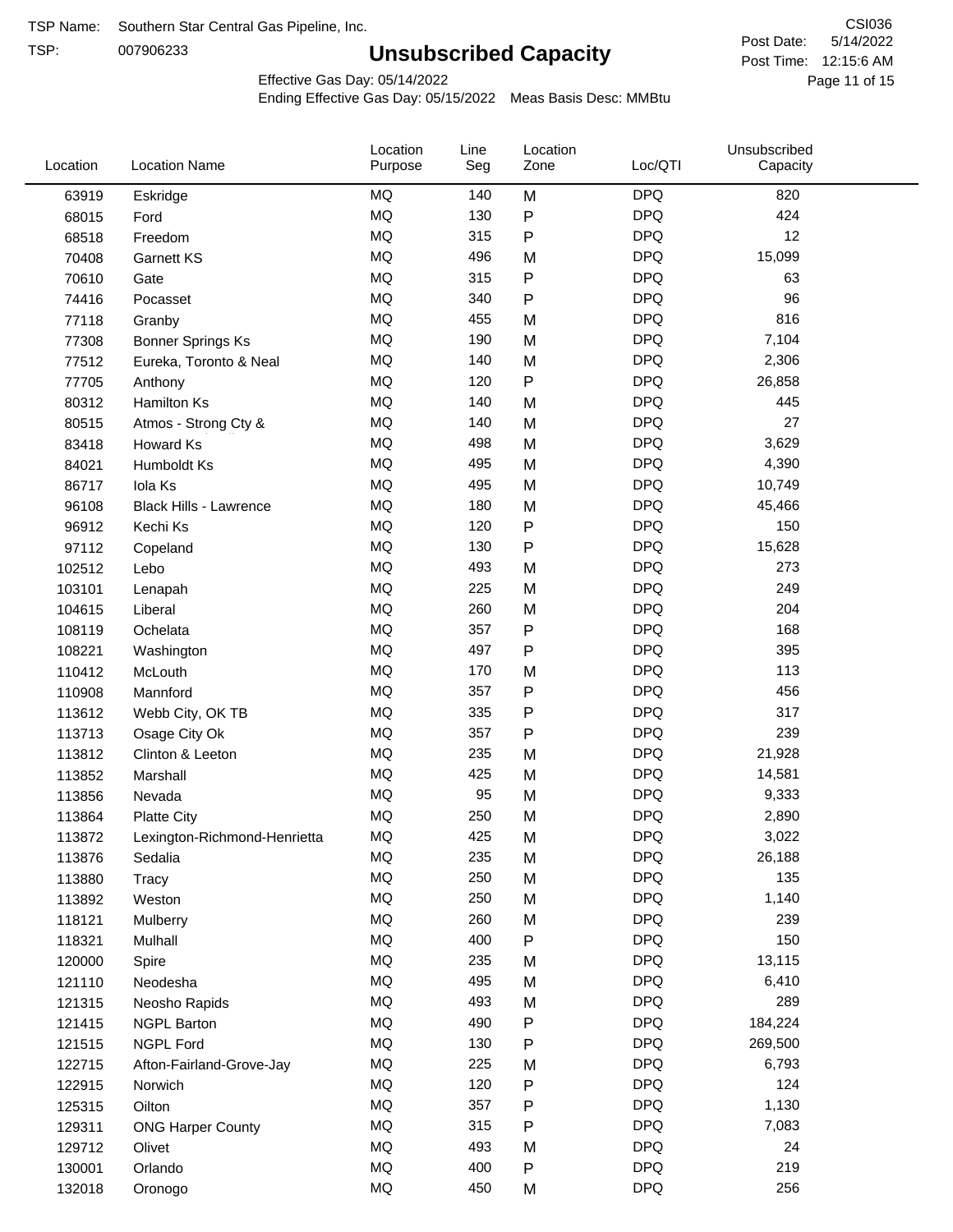TSP:

# **Unsubscribed Capacity**

5/14/2022 Page 11 of 15 Post Time: 12:15:6 AM CSI036 Post Date:

Effective Gas Day: 05/14/2022

| Location | <b>Location Name</b>          | Location<br>Purpose | Line<br>Seg | Location<br>Zone | Loc/QTI    | Unsubscribed<br>Capacity |  |
|----------|-------------------------------|---------------------|-------------|------------------|------------|--------------------------|--|
| 63919    | Eskridge                      | <b>MQ</b>           | 140         | M                | <b>DPQ</b> | 820                      |  |
| 68015    | Ford                          | <b>MQ</b>           | 130         | P                | <b>DPQ</b> | 424                      |  |
| 68518    | Freedom                       | <b>MQ</b>           | 315         | P                | <b>DPQ</b> | 12                       |  |
| 70408    | <b>Garnett KS</b>             | <b>MQ</b>           | 496         | M                | <b>DPQ</b> | 15,099                   |  |
| 70610    | Gate                          | <b>MQ</b>           | 315         | P                | <b>DPQ</b> | 63                       |  |
| 74416    | Pocasset                      | <b>MQ</b>           | 340         | P                | <b>DPQ</b> | 96                       |  |
| 77118    | Granby                        | <b>MQ</b>           | 455         | M                | <b>DPQ</b> | 816                      |  |
| 77308    | <b>Bonner Springs Ks</b>      | <b>MQ</b>           | 190         | M                | <b>DPQ</b> | 7,104                    |  |
| 77512    | Eureka, Toronto & Neal        | <b>MQ</b>           | 140         | M                | <b>DPQ</b> | 2,306                    |  |
| 77705    | Anthony                       | <b>MQ</b>           | 120         | P                | <b>DPQ</b> | 26,858                   |  |
| 80312    | <b>Hamilton Ks</b>            | <b>MQ</b>           | 140         | M                | <b>DPQ</b> | 445                      |  |
| 80515    | Atmos - Strong Cty &          | <b>MQ</b>           | 140         | M                | <b>DPQ</b> | 27                       |  |
| 83418    | Howard Ks                     | <b>MQ</b>           | 498         | M                | <b>DPQ</b> | 3,629                    |  |
| 84021    | Humboldt Ks                   | <b>MQ</b>           | 495         | M                | <b>DPQ</b> | 4,390                    |  |
| 86717    | Iola Ks                       | <b>MQ</b>           | 495         | M                | <b>DPQ</b> | 10,749                   |  |
| 96108    | <b>Black Hills - Lawrence</b> | <b>MQ</b>           | 180         | M                | <b>DPQ</b> | 45,466                   |  |
| 96912    | Kechi Ks                      | <b>MQ</b>           | 120         | P                | <b>DPQ</b> | 150                      |  |
| 97112    | Copeland                      | <b>MQ</b>           | 130         | P                | <b>DPQ</b> | 15,628                   |  |
| 102512   | Lebo                          | <b>MQ</b>           | 493         | M                | <b>DPQ</b> | 273                      |  |
| 103101   | Lenapah                       | <b>MQ</b>           | 225         | M                | <b>DPQ</b> | 249                      |  |
| 104615   | Liberal                       | <b>MQ</b>           | 260         | M                | <b>DPQ</b> | 204                      |  |
| 108119   | Ochelata                      | <b>MQ</b>           | 357         | P                | <b>DPQ</b> | 168                      |  |
| 108221   | Washington                    | <b>MQ</b>           | 497         | P                | <b>DPQ</b> | 395                      |  |
| 110412   | McLouth                       | <b>MQ</b>           | 170         | M                | <b>DPQ</b> | 113                      |  |
| 110908   | Mannford                      | <b>MQ</b>           | 357         | P                | <b>DPQ</b> | 456                      |  |
| 113612   | Webb City, OK TB              | <b>MQ</b>           | 335         | P                | <b>DPQ</b> | 317                      |  |
| 113713   | Osage City Ok                 | <b>MQ</b>           | 357         | Ρ                | <b>DPQ</b> | 239                      |  |
| 113812   | Clinton & Leeton              | <b>MQ</b>           | 235         | M                | <b>DPQ</b> | 21,928                   |  |
| 113852   | Marshall                      | <b>MQ</b>           | 425         | M                | <b>DPQ</b> | 14,581                   |  |
| 113856   | Nevada                        | <b>MQ</b>           | 95          | M                | <b>DPQ</b> | 9,333                    |  |
| 113864   | <b>Platte City</b>            | <b>MQ</b>           | 250         | M                | <b>DPQ</b> | 2,890                    |  |
| 113872   | Lexington-Richmond-Henrietta  | MQ                  | 425         | M                | DPQ        | 3,022                    |  |
| 113876   | Sedalia                       | MQ                  | 235         | M                | <b>DPQ</b> | 26,188                   |  |
| 113880   | Tracy                         | MQ                  | 250         | M                | <b>DPQ</b> | 135                      |  |
| 113892   | Weston                        | <b>MQ</b>           | 250         | M                | <b>DPQ</b> | 1,140                    |  |
| 118121   | Mulberry                      | <b>MQ</b>           | 260         | M                | <b>DPQ</b> | 239                      |  |
| 118321   | Mulhall                       | MQ                  | 400         | ${\sf P}$        | <b>DPQ</b> | 150                      |  |
| 120000   | Spire                         | MQ                  | 235         | M                | <b>DPQ</b> | 13,115                   |  |
| 121110   | Neodesha                      | MQ                  | 495         | M                | <b>DPQ</b> | 6,410                    |  |
| 121315   | Neosho Rapids                 | MQ                  | 493         | M                | <b>DPQ</b> | 289                      |  |
| 121415   | <b>NGPL Barton</b>            | MQ                  | 490         | P                | <b>DPQ</b> | 184,224                  |  |
| 121515   | <b>NGPL Ford</b>              | MQ                  | 130         | Ρ                | <b>DPQ</b> | 269,500                  |  |
| 122715   | Afton-Fairland-Grove-Jay      | <b>MQ</b>           | 225         | M                | <b>DPQ</b> | 6,793                    |  |
| 122915   | Norwich                       | <b>MQ</b>           | 120         | Ρ                | <b>DPQ</b> | 124                      |  |
| 125315   | Oilton                        | MQ                  | 357         | Ρ                | <b>DPQ</b> | 1,130                    |  |
| 129311   | <b>ONG Harper County</b>      | MQ                  | 315         | Ρ                | <b>DPQ</b> | 7,083                    |  |
| 129712   | Olivet                        | MQ                  | 493         | M                | <b>DPQ</b> | 24                       |  |
| 130001   | Orlando                       | <b>MQ</b>           | 400         | P                | <b>DPQ</b> | 219                      |  |
| 132018   | Oronogo                       | MQ                  | 450         | M                | <b>DPQ</b> | 256                      |  |
|          |                               |                     |             |                  |            |                          |  |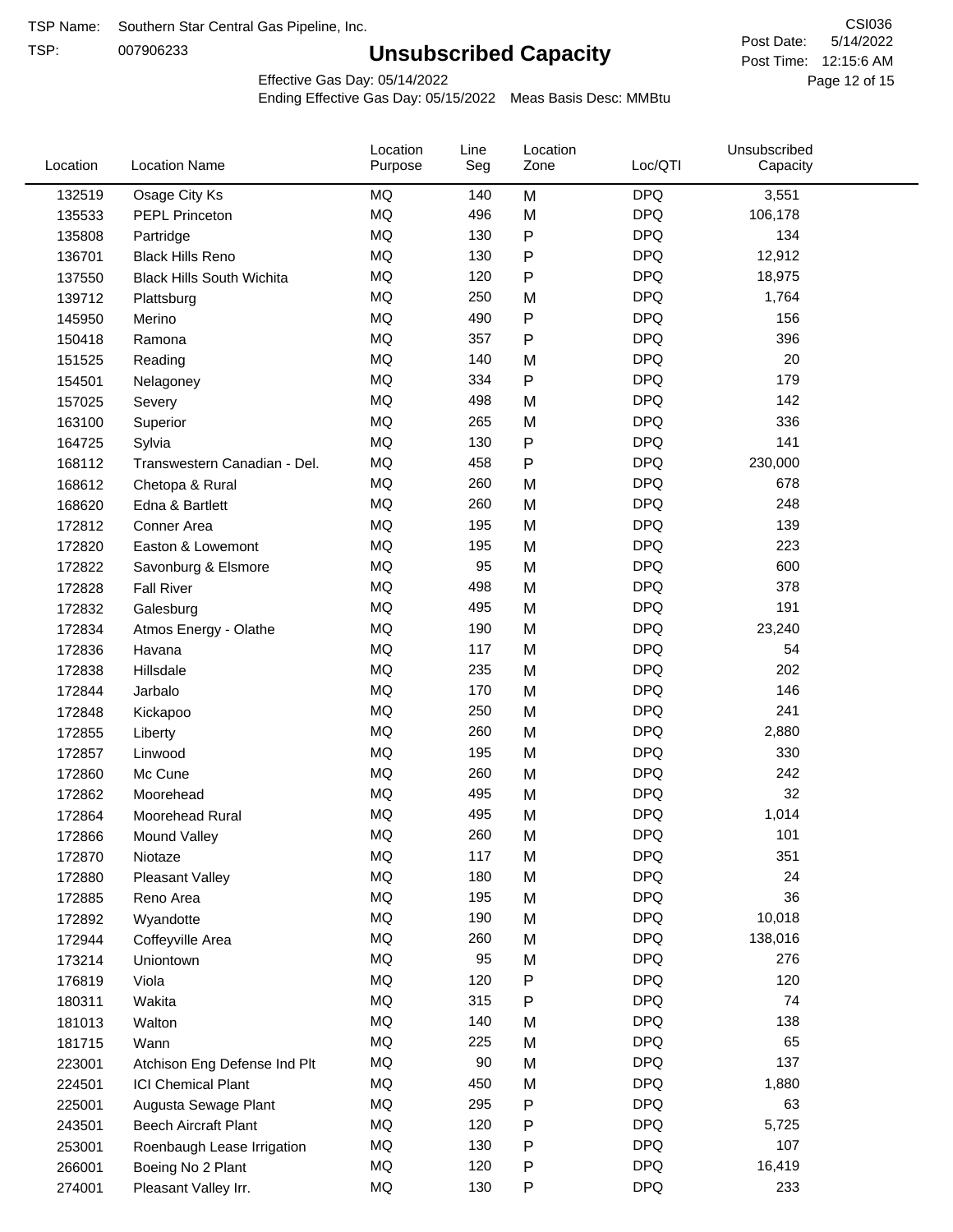TSP:

# **Unsubscribed Capacity**

5/14/2022 Page 12 of 15 Post Time: 12:15:6 AM CSI036 Post Date:

Effective Gas Day: 05/14/2022

| Location | <b>Location Name</b>             | Location<br>Purpose | Line<br>Seg | Location<br>Zone | Loc/QTI    | Unsubscribed<br>Capacity |  |
|----------|----------------------------------|---------------------|-------------|------------------|------------|--------------------------|--|
| 132519   | Osage City Ks                    | <b>MQ</b>           | 140         | M                | <b>DPQ</b> | 3,551                    |  |
| 135533   | <b>PEPL Princeton</b>            | MQ                  | 496         | M                | <b>DPQ</b> | 106,178                  |  |
| 135808   | Partridge                        | MQ                  | 130         | P                | <b>DPQ</b> | 134                      |  |
| 136701   | <b>Black Hills Reno</b>          | <b>MQ</b>           | 130         | P                | <b>DPQ</b> | 12,912                   |  |
| 137550   | <b>Black Hills South Wichita</b> | <b>MQ</b>           | 120         | P                | <b>DPQ</b> | 18,975                   |  |
| 139712   | Plattsburg                       | MQ                  | 250         | M                | <b>DPQ</b> | 1,764                    |  |
| 145950   | Merino                           | MQ                  | 490         | P                | <b>DPQ</b> | 156                      |  |
| 150418   | Ramona                           | <b>MQ</b>           | 357         | P                | <b>DPQ</b> | 396                      |  |
| 151525   | Reading                          | MQ                  | 140         | M                | <b>DPQ</b> | 20                       |  |
| 154501   | Nelagoney                        | <b>MQ</b>           | 334         | ${\sf P}$        | <b>DPQ</b> | 179                      |  |
| 157025   | Severy                           | <b>MQ</b>           | 498         | M                | <b>DPQ</b> | 142                      |  |
| 163100   | Superior                         | <b>MQ</b>           | 265         | M                | <b>DPQ</b> | 336                      |  |
| 164725   | Sylvia                           | <b>MQ</b>           | 130         | P                | <b>DPQ</b> | 141                      |  |
| 168112   | Transwestern Canadian - Del.     | MQ                  | 458         | P                | <b>DPQ</b> | 230,000                  |  |
| 168612   | Chetopa & Rural                  | MQ                  | 260         | M                | <b>DPQ</b> | 678                      |  |
| 168620   | Edna & Bartlett                  | MQ                  | 260         | M                | <b>DPQ</b> | 248                      |  |
| 172812   | Conner Area                      | MQ                  | 195         | M                | <b>DPQ</b> | 139                      |  |
| 172820   | Easton & Lowemont                | MQ                  | 195         | M                | <b>DPQ</b> | 223                      |  |
| 172822   | Savonburg & Elsmore              | <b>MQ</b>           | 95          | M                | <b>DPQ</b> | 600                      |  |
| 172828   | <b>Fall River</b>                | <b>MQ</b>           | 498         | M                | <b>DPQ</b> | 378                      |  |
| 172832   | Galesburg                        | MQ                  | 495         | M                | <b>DPQ</b> | 191                      |  |
| 172834   | Atmos Energy - Olathe            | <b>MQ</b>           | 190         | M                | <b>DPQ</b> | 23,240                   |  |
| 172836   | Havana                           | <b>MQ</b>           | 117         | M                | <b>DPQ</b> | 54                       |  |
| 172838   | Hillsdale                        | <b>MQ</b>           | 235         | M                | <b>DPQ</b> | 202                      |  |
| 172844   | Jarbalo                          | <b>MQ</b>           | 170         | M                | <b>DPQ</b> | 146                      |  |
| 172848   | Kickapoo                         | <b>MQ</b>           | 250         | M                | <b>DPQ</b> | 241                      |  |
| 172855   | Liberty                          | <b>MQ</b>           | 260         | M                | <b>DPQ</b> | 2,880                    |  |
| 172857   | Linwood                          | <b>MQ</b>           | 195         | M                | <b>DPQ</b> | 330                      |  |
| 172860   | Mc Cune                          | <b>MQ</b>           | 260         | M                | <b>DPQ</b> | 242                      |  |
| 172862   | Moorehead                        | <b>MQ</b>           | 495         | M                | <b>DPQ</b> | 32                       |  |
| 172864   | Moorehead Rural                  | <b>MQ</b>           | 495         | M                | <b>DPQ</b> | 1,014                    |  |
| 172866   | Mound Valley                     | MQ                  | 260         | M                | <b>DPQ</b> | 101                      |  |
| 172870   | Niotaze                          | MQ                  | 117         | M                | <b>DPQ</b> | 351                      |  |
| 172880   | Pleasant Valley                  | MQ                  | 180         | M                | <b>DPQ</b> | 24                       |  |
| 172885   | Reno Area                        | MQ                  | 195         | M                | <b>DPQ</b> | 36                       |  |
| 172892   | Wyandotte                        | $\sf{MQ}$           | 190         | M                | <b>DPQ</b> | 10,018                   |  |
| 172944   | Coffeyville Area                 | MQ                  | 260         | M                | <b>DPQ</b> | 138,016                  |  |
| 173214   | Uniontown                        | <b>MQ</b>           | 95          | M                | <b>DPQ</b> | 276                      |  |
| 176819   | Viola                            | MQ                  | 120         | Ρ                | <b>DPQ</b> | 120                      |  |
| 180311   | Wakita                           | $\sf{MQ}$           | 315         | Ρ                | <b>DPQ</b> | 74                       |  |
| 181013   | Walton                           | MQ                  | 140         | M                | <b>DPQ</b> | 138                      |  |
| 181715   | Wann                             | MQ                  | 225         | M                | <b>DPQ</b> | 65                       |  |
| 223001   | Atchison Eng Defense Ind Plt     | $\sf{MQ}$           | 90          | M                | <b>DPQ</b> | 137                      |  |
| 224501   | <b>ICI Chemical Plant</b>        | $\sf{MQ}$           | 450         | M                | <b>DPQ</b> | 1,880                    |  |
| 225001   | Augusta Sewage Plant             | MQ                  | 295         | Ρ                | <b>DPQ</b> | 63                       |  |
| 243501   | <b>Beech Aircraft Plant</b>      | MQ                  | 120         | Ρ                | <b>DPQ</b> | 5,725                    |  |
| 253001   | Roenbaugh Lease Irrigation       | MQ                  | 130         | P                | <b>DPQ</b> | 107                      |  |
| 266001   | Boeing No 2 Plant                | MQ                  | 120         | P                | <b>DPQ</b> | 16,419                   |  |
| 274001   | Pleasant Valley Irr.             | MQ                  | 130         | P                | <b>DPQ</b> | 233                      |  |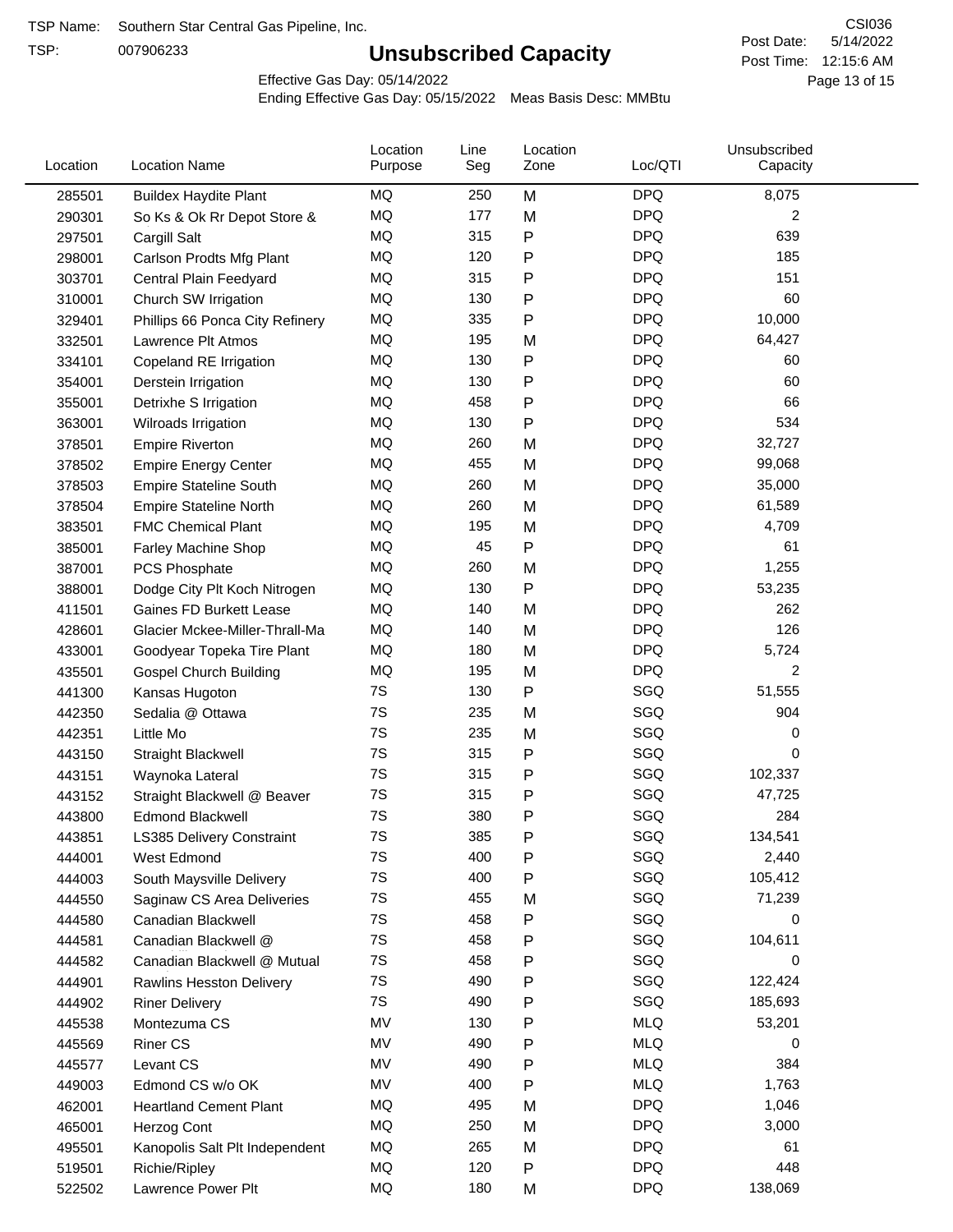TSP:

# **Unsubscribed Capacity**

5/14/2022 Page 13 of 15 Post Time: 12:15:6 AM CSI036 Post Date:

Effective Gas Day: 05/14/2022

| Location | <b>Location Name</b>            | Location<br>Purpose | Line<br>Seg | Location<br>Zone | Loc/QTI    | Unsubscribed<br>Capacity |  |
|----------|---------------------------------|---------------------|-------------|------------------|------------|--------------------------|--|
| 285501   | <b>Buildex Haydite Plant</b>    | MQ                  | 250         | M                | <b>DPQ</b> | 8,075                    |  |
| 290301   | So Ks & Ok Rr Depot Store &     | MQ                  | 177         | M                | <b>DPQ</b> | 2                        |  |
| 297501   | Cargill Salt                    | MQ                  | 315         | Ρ                | <b>DPQ</b> | 639                      |  |
| 298001   | Carlson Prodts Mfg Plant        | MQ                  | 120         | Ρ                | <b>DPQ</b> | 185                      |  |
| 303701   | Central Plain Feedyard          | MQ                  | 315         | P                | <b>DPQ</b> | 151                      |  |
| 310001   | Church SW Irrigation            | MQ                  | 130         | $\mathsf{P}$     | <b>DPQ</b> | 60                       |  |
| 329401   | Phillips 66 Ponca City Refinery | MQ                  | 335         | $\mathsf{P}$     | <b>DPQ</b> | 10,000                   |  |
| 332501   | Lawrence Plt Atmos              | MQ                  | 195         | M                | <b>DPQ</b> | 64,427                   |  |
| 334101   | Copeland RE Irrigation          | MQ                  | 130         | ${\sf P}$        | <b>DPQ</b> | 60                       |  |
| 354001   | Derstein Irrigation             | MQ                  | 130         | P                | <b>DPQ</b> | 60                       |  |
| 355001   | Detrixhe S Irrigation           | MQ                  | 458         | P                | <b>DPQ</b> | 66                       |  |
| 363001   | Wilroads Irrigation             | MQ                  | 130         | $\mathsf{P}$     | <b>DPQ</b> | 534                      |  |
| 378501   | <b>Empire Riverton</b>          | MQ                  | 260         | M                | <b>DPQ</b> | 32,727                   |  |
| 378502   | <b>Empire Energy Center</b>     | MQ                  | 455         | M                | <b>DPQ</b> | 99,068                   |  |
| 378503   | <b>Empire Stateline South</b>   | MQ                  | 260         | M                | <b>DPQ</b> | 35,000                   |  |
| 378504   | <b>Empire Stateline North</b>   | MQ                  | 260         | M                | <b>DPQ</b> | 61,589                   |  |
| 383501   | <b>FMC Chemical Plant</b>       | MQ                  | 195         | M                | <b>DPQ</b> | 4,709                    |  |
| 385001   | Farley Machine Shop             | MQ                  | 45          | $\mathsf{P}$     | <b>DPQ</b> | 61                       |  |
| 387001   | PCS Phosphate                   | MQ                  | 260         | M                | <b>DPQ</b> | 1,255                    |  |
| 388001   | Dodge City Plt Koch Nitrogen    | MQ                  | 130         | Ρ                | <b>DPQ</b> | 53,235                   |  |
| 411501   | Gaines FD Burkett Lease         | MQ                  | 140         | M                | <b>DPQ</b> | 262                      |  |
| 428601   | Glacier Mckee-Miller-Thrall-Ma  | <b>MQ</b>           | 140         | M                | <b>DPQ</b> | 126                      |  |
| 433001   | Goodyear Topeka Tire Plant      | <b>MQ</b>           | 180         | M                | <b>DPQ</b> | 5,724                    |  |
| 435501   | <b>Gospel Church Building</b>   | <b>MQ</b>           | 195         | M                | <b>DPQ</b> | $\overline{c}$           |  |
| 441300   | Kansas Hugoton                  | 7S                  | 130         | P                | SGQ        | 51,555                   |  |
| 442350   | Sedalia @ Ottawa                | 7S                  | 235         | M                | SGQ        | 904                      |  |
| 442351   | Little Mo                       | 7S                  | 235         | M                | SGQ        | 0                        |  |
| 443150   | <b>Straight Blackwell</b>       | 7S                  | 315         | ${\sf P}$        | SGQ        | 0                        |  |
| 443151   | Waynoka Lateral                 | 7S                  | 315         | P                | SGQ        | 102,337                  |  |
| 443152   | Straight Blackwell @ Beaver     | 7S                  | 315         | P                | SGQ        | 47,725                   |  |
| 443800   | <b>Edmond Blackwell</b>         | 7S                  | 380         | P                | SGQ        | 284                      |  |
| 443851   | LS385 Delivery Constraint       | 7S                  | 385         | Ρ                | SGQ        | 134,541                  |  |
| 444001   | West Edmond                     | 7S                  | 400         | P                | SGQ        | 2,440                    |  |
| 444003   | South Maysville Delivery        | 7S                  | 400         | P                | SGQ        | 105,412                  |  |
| 444550   | Saginaw CS Area Deliveries      | 7S                  | 455         | M                | SGQ        | 71,239                   |  |
| 444580   | Canadian Blackwell              | 7S                  | 458         | Ρ                | SGQ        | 0                        |  |
| 444581   | Canadian Blackwell @            | 7S                  | 458         | $\mathsf{P}$     | SGQ        | 104,611                  |  |
| 444582   | Canadian Blackwell @ Mutual     | 7S                  | 458         | Ρ                | SGQ        | 0                        |  |
| 444901   | <b>Rawlins Hesston Delivery</b> | 7S                  | 490         | P                | SGQ        | 122,424                  |  |
| 444902   | <b>Riner Delivery</b>           | 7S                  | 490         | Ρ                | SGQ        | 185,693                  |  |
| 445538   | Montezuma CS                    | MV                  | 130         | P                | <b>MLQ</b> | 53,201                   |  |
| 445569   | <b>Riner CS</b>                 | MV                  | 490         | P                | <b>MLQ</b> | 0                        |  |
| 445577   | Levant CS                       | MV                  | 490         | $\mathsf{P}$     | <b>MLQ</b> | 384                      |  |
| 449003   | Edmond CS w/o OK                | MV                  | 400         | $\mathsf{P}$     | <b>MLQ</b> | 1,763                    |  |
| 462001   | <b>Heartland Cement Plant</b>   | MQ                  | 495         | M                | <b>DPQ</b> | 1,046                    |  |
| 465001   | Herzog Cont                     | MQ                  | 250         | M                | <b>DPQ</b> | 3,000                    |  |
| 495501   | Kanopolis Salt Plt Independent  | MQ                  | 265         | M                | <b>DPQ</b> | 61                       |  |
| 519501   | Richie/Ripley                   | MQ                  | 120         | $\mathsf{P}$     | <b>DPQ</b> | 448                      |  |
| 522502   | Lawrence Power Plt              | MQ                  | 180         | M                | <b>DPQ</b> | 138,069                  |  |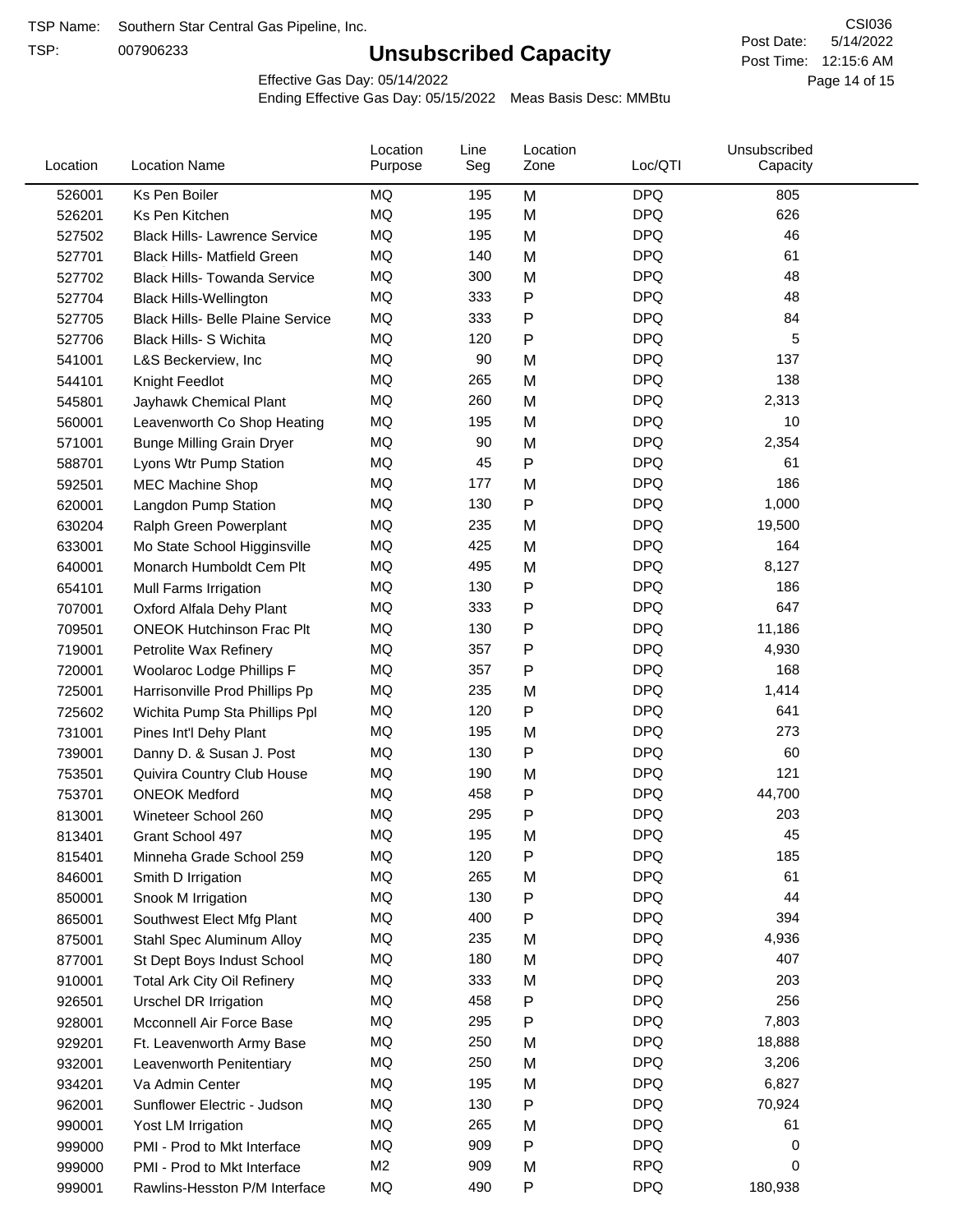TSP:

# **Unsubscribed Capacity**

5/14/2022 Page 14 of 15 Post Time: 12:15:6 AM CSI036 Post Date:

Effective Gas Day: 05/14/2022

| Location | <b>Location Name</b>                     | Location<br>Purpose | Line<br>Seg | Location<br>Zone | Loc/QTI    | Unsubscribed<br>Capacity |  |
|----------|------------------------------------------|---------------------|-------------|------------------|------------|--------------------------|--|
| 526001   | Ks Pen Boiler                            | <b>MQ</b>           | 195         | M                | <b>DPQ</b> | 805                      |  |
| 526201   | Ks Pen Kitchen                           | MQ                  | 195         | M                | <b>DPQ</b> | 626                      |  |
| 527502   | <b>Black Hills- Lawrence Service</b>     | MQ                  | 195         | M                | <b>DPQ</b> | 46                       |  |
| 527701   | <b>Black Hills- Matfield Green</b>       | MQ                  | 140         | M                | <b>DPQ</b> | 61                       |  |
| 527702   | <b>Black Hills- Towanda Service</b>      | <b>MQ</b>           | 300         | M                | <b>DPQ</b> | 48                       |  |
| 527704   | <b>Black Hills-Wellington</b>            | MQ                  | 333         | P                | <b>DPQ</b> | 48                       |  |
| 527705   | <b>Black Hills- Belle Plaine Service</b> | MQ                  | 333         | $\mathsf{P}$     | <b>DPQ</b> | 84                       |  |
| 527706   | <b>Black Hills- S Wichita</b>            | MQ                  | 120         | $\mathsf{P}$     | <b>DPQ</b> | 5                        |  |
| 541001   | L&S Beckerview, Inc                      | MQ                  | 90          | M                | <b>DPQ</b> | 137                      |  |
| 544101   | Knight Feedlot                           | <b>MQ</b>           | 265         | M                | <b>DPQ</b> | 138                      |  |
| 545801   | Jayhawk Chemical Plant                   | MQ                  | 260         | M                | <b>DPQ</b> | 2,313                    |  |
| 560001   | Leavenworth Co Shop Heating              | <b>MQ</b>           | 195         | M                | <b>DPQ</b> | 10                       |  |
| 571001   | <b>Bunge Milling Grain Dryer</b>         | MQ                  | 90          | M                | <b>DPQ</b> | 2,354                    |  |
| 588701   | Lyons Wtr Pump Station                   | <b>MQ</b>           | 45          | P                | <b>DPQ</b> | 61                       |  |
| 592501   | <b>MEC Machine Shop</b>                  | MQ                  | 177         | M                | <b>DPQ</b> | 186                      |  |
| 620001   | Langdon Pump Station                     | MQ                  | 130         | P                | <b>DPQ</b> | 1,000                    |  |
| 630204   | Ralph Green Powerplant                   | MQ                  | 235         | M                | <b>DPQ</b> | 19,500                   |  |
| 633001   | Mo State School Higginsville             | MQ                  | 425         | M                | <b>DPQ</b> | 164                      |  |
| 640001   | Monarch Humboldt Cem Plt                 | MQ                  | 495         | M                | <b>DPQ</b> | 8,127                    |  |
| 654101   | Mull Farms Irrigation                    | MQ                  | 130         | P                | <b>DPQ</b> | 186                      |  |
| 707001   | Oxford Alfala Dehy Plant                 | MQ                  | 333         | P                | <b>DPQ</b> | 647                      |  |
| 709501   | <b>ONEOK Hutchinson Frac Plt</b>         | MQ                  | 130         | Ρ                | <b>DPQ</b> | 11,186                   |  |
| 719001   | Petrolite Wax Refinery                   | MQ                  | 357         | Ρ                | <b>DPQ</b> | 4,930                    |  |
| 720001   | Woolaroc Lodge Phillips F                | <b>MQ</b>           | 357         | P                | <b>DPQ</b> | 168                      |  |
| 725001   | Harrisonville Prod Phillips Pp           | MQ                  | 235         | M                | <b>DPQ</b> | 1,414                    |  |
| 725602   | Wichita Pump Sta Phillips Ppl            | MQ                  | 120         | P                | <b>DPQ</b> | 641                      |  |
| 731001   | Pines Int'l Dehy Plant                   | MQ                  | 195         | M                | <b>DPQ</b> | 273                      |  |
| 739001   | Danny D. & Susan J. Post                 | MQ                  | 130         | P                | <b>DPQ</b> | 60                       |  |
| 753501   | Quivira Country Club House               | MQ                  | 190         | M                | <b>DPQ</b> | 121                      |  |
| 753701   | <b>ONEOK Medford</b>                     | MQ                  | 458         | P                | <b>DPQ</b> | 44,700                   |  |
| 813001   | Wineteer School 260                      | <b>MQ</b>           | 295         | P                | <b>DPQ</b> | 203                      |  |
| 813401   | Grant School 497                         | <b>MQ</b>           | 195         | M                | <b>DPQ</b> | 45                       |  |
| 815401   | Minneha Grade School 259                 | MQ                  | 120         | Ρ                | <b>DPQ</b> | 185                      |  |
| 846001   | Smith D Irrigation                       | MQ                  | 265         | M                | <b>DPQ</b> | 61                       |  |
| 850001   | Snook M Irrigation                       | MQ                  | 130         | Ρ                | <b>DPQ</b> | 44                       |  |
| 865001   | Southwest Elect Mfg Plant                | MQ                  | 400         | Ρ                | <b>DPQ</b> | 394                      |  |
| 875001   | Stahl Spec Aluminum Alloy                | MQ                  | 235         | M                | <b>DPQ</b> | 4,936                    |  |
| 877001   | St Dept Boys Indust School               | MQ                  | 180         | M                | <b>DPQ</b> | 407                      |  |
| 910001   | <b>Total Ark City Oil Refinery</b>       | MQ                  | 333         | M                | <b>DPQ</b> | 203                      |  |
| 926501   | Urschel DR Irrigation                    | MQ                  | 458         | P                | <b>DPQ</b> | 256                      |  |
| 928001   | Mcconnell Air Force Base                 | MQ                  | 295         | Ρ                | <b>DPQ</b> | 7,803                    |  |
| 929201   | Ft. Leavenworth Army Base                | MQ                  | 250         | M                | <b>DPQ</b> | 18,888                   |  |
| 932001   | Leavenworth Penitentiary                 | MQ                  | 250         | M                | <b>DPQ</b> | 3,206                    |  |
| 934201   | Va Admin Center                          | MQ                  | 195         | M                | <b>DPQ</b> | 6,827                    |  |
| 962001   | Sunflower Electric - Judson              | MQ                  | 130         | Ρ                | <b>DPQ</b> | 70,924                   |  |
| 990001   | Yost LM Irrigation                       | MQ                  | 265         | M                | <b>DPQ</b> | 61                       |  |
| 999000   | PMI - Prod to Mkt Interface              | MQ                  | 909         | Ρ                | <b>DPQ</b> | 0                        |  |
| 999000   | PMI - Prod to Mkt Interface              | M <sub>2</sub>      | 909         | M                | <b>RPQ</b> | 0                        |  |
| 999001   | Rawlins-Hesston P/M Interface            | MQ                  | 490         | P                | <b>DPQ</b> | 180,938                  |  |
|          |                                          |                     |             |                  |            |                          |  |